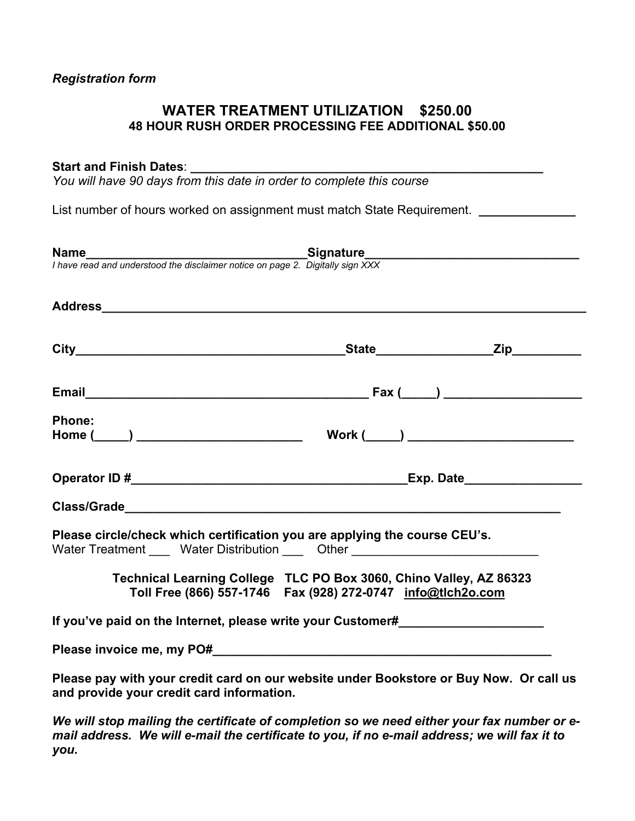# **WATER TREATMENT UTILIZATION \$250.00 48 HOUR RUSH ORDER PROCESSING FEE ADDITIONAL \$50.00**

# Start and Finish Dates:

*You will have 90 days from this date in order to complete this course* 

List number of hours worked on assignment must match State Requirement. **\_\_\_\_\_\_\_\_\_\_\_\_\_\_**

| <b>Name</b><br>I have read and understood the disclaimer notice on page 2. Digitally sign XXX                                                                                                                                       |  |
|-------------------------------------------------------------------------------------------------------------------------------------------------------------------------------------------------------------------------------------|--|
|                                                                                                                                                                                                                                     |  |
|                                                                                                                                                                                                                                     |  |
|                                                                                                                                                                                                                                     |  |
| Phone:                                                                                                                                                                                                                              |  |
|                                                                                                                                                                                                                                     |  |
|                                                                                                                                                                                                                                     |  |
| Class/Grade <b>Class</b> and the contract of the contract of the contract of the contract of the contract of the contract of the contract of the contract of the contract of the contract of the contract of the contract of the co |  |
| Please circle/check which certification you are applying the course CEU's.<br>Water Treatment _____ Water Distribution ____ Other ____________________________                                                                      |  |
| Technical Learning College TLC PO Box 3060, Chino Valley, AZ 86323<br>Toll Free (866) 557-1746  Fax (928) 272-0747  info@tlch2o.com                                                                                                 |  |
| If you've paid on the Internet, please write your Customer#_____________________                                                                                                                                                    |  |
| Please invoice me, my PO# example and the state of the state of the state of the state of the state of the state of the state of the state of the state of the state of the state of the state of the state of the state of th      |  |
| Please pay with your credit card on our website under Bookstore or Buy Now. Or call us<br>and provide your credit card information.                                                                                                 |  |

*We will stop mailing the certificate of completion so we need either your fax number or email address. We will e-mail the certificate to you, if no e-mail address; we will fax it to you.*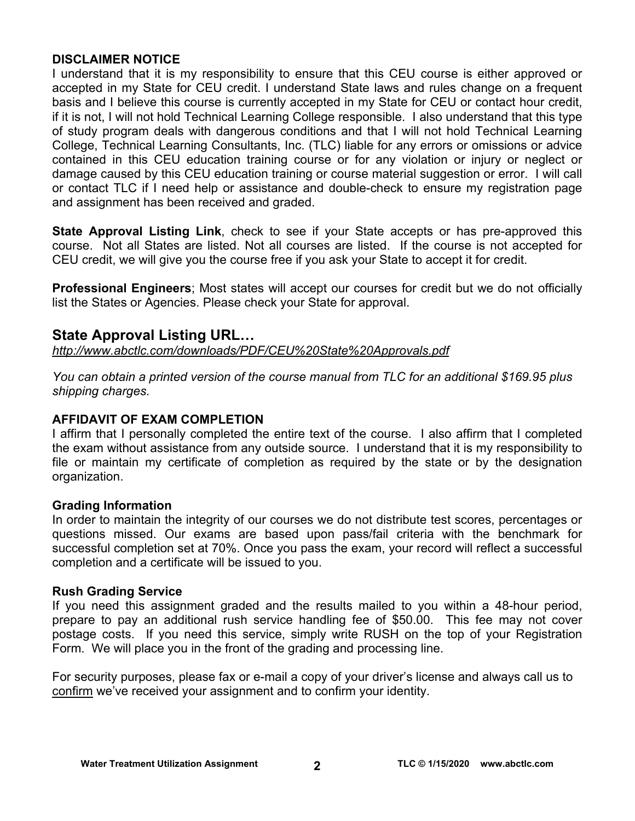# **DISCLAIMER NOTICE**

I understand that it is my responsibility to ensure that this CEU course is either approved or accepted in my State for CEU credit. I understand State laws and rules change on a frequent basis and I believe this course is currently accepted in my State for CEU or contact hour credit, if it is not, I will not hold Technical Learning College responsible. I also understand that this type of study program deals with dangerous conditions and that I will not hold Technical Learning College, Technical Learning Consultants, Inc. (TLC) liable for any errors or omissions or advice contained in this CEU education training course or for any violation or injury or neglect or damage caused by this CEU education training or course material suggestion or error. I will call or contact TLC if I need help or assistance and double-check to ensure my registration page and assignment has been received and graded.

**State Approval Listing Link**, check to see if your State accepts or has pre-approved this course. Not all States are listed. Not all courses are listed. If the course is not accepted for CEU credit, we will give you the course free if you ask your State to accept it for credit.

**Professional Engineers**; Most states will accept our courses for credit but we do not officially list the States or Agencies. Please check your State for approval.

# **State Approval Listing URL…**

*<http://www.abctlc.com/downloads/PDF/CEU%20State%20Approvals.pdf>*

*You can obtain a printed version of the course manual from TLC for an additional \$169.95 plus shipping charges.* 

# **AFFIDAVIT OF EXAM COMPLETION**

I affirm that I personally completed the entire text of the course. I also affirm that I completed the exam without assistance from any outside source. I understand that it is my responsibility to file or maintain my certificate of completion as required by the state or by the designation organization.

# **Grading Information**

In order to maintain the integrity of our courses we do not distribute test scores, percentages or questions missed. Our exams are based upon pass/fail criteria with the benchmark for successful completion set at 70%. Once you pass the exam, your record will reflect a successful completion and a certificate will be issued to you.

# **Rush Grading Service**

If you need this assignment graded and the results mailed to you within a 48-hour period, prepare to pay an additional rush service handling fee of \$50.00. This fee may not cover postage costs. If you need this service, simply write RUSH on the top of your Registration Form. We will place you in the front of the grading and processing line.

For security purposes, please fax or e-mail a copy of your driver's license and always call us to confirm we've received your assignment and to confirm your identity.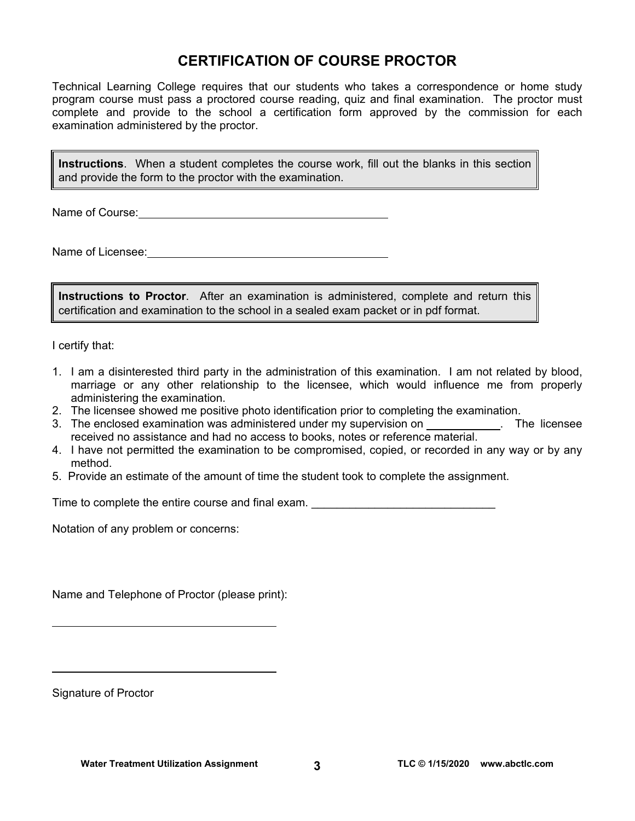# **CERTIFICATION OF COURSE PROCTOR**

Technical Learning College requires that our students who takes a correspondence or home study program course must pass a proctored course reading, quiz and final examination. The proctor must complete and provide to the school a certification form approved by the commission for each examination administered by the proctor.

**Instructions**. When a student completes the course work, fill out the blanks in this section and provide the form to the proctor with the examination.

Name of Course:  $\blacksquare$ 

Name of Licensee:  $\qquad \qquad \qquad$ 

**Instructions to Proctor**. After an examination is administered, complete and return this certification and examination to the school in a sealed exam packet or in pdf format.

I certify that:

- 1. I am a disinterested third party in the administration of this examination. I am not related by blood, marriage or any other relationship to the licensee, which would influence me from properly administering the examination.
- 2. The licensee showed me positive photo identification prior to completing the examination.
- 3. The enclosed examination was administered under my supervision on . The licensee received no assistance and had no access to books, notes or reference material.
- 4. I have not permitted the examination to be compromised, copied, or recorded in any way or by any method.
- 5. Provide an estimate of the amount of time the student took to complete the assignment.

Time to complete the entire course and final exam. \_\_\_\_\_\_\_\_\_\_\_\_\_\_\_\_\_\_\_\_\_\_\_\_\_\_\_\_\_

Notation of any problem or concerns:

Name and Telephone of Proctor (please print):

Signature of Proctor

 $\overline{a}$ 

 $\overline{a}$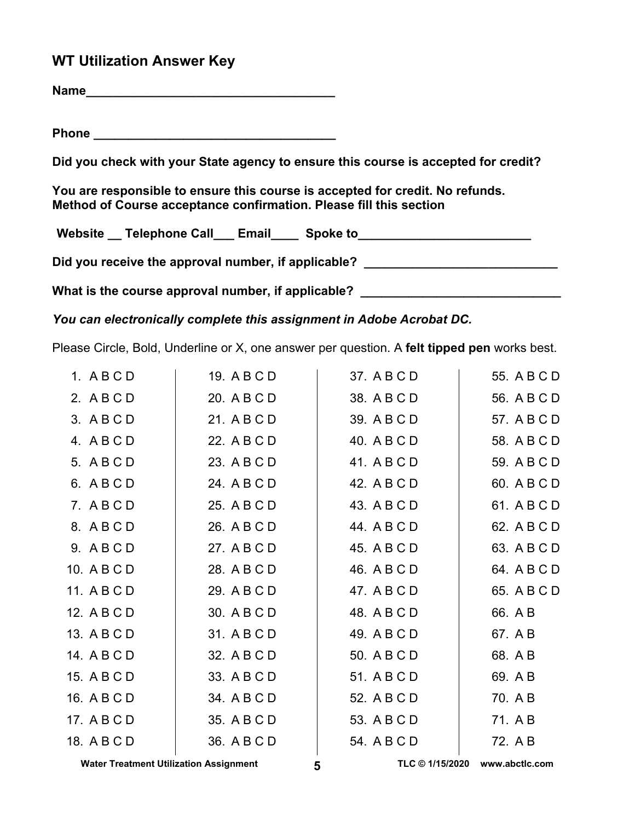# **WT Utilization Answer Key**

**Name\_\_\_\_\_\_\_\_\_\_\_\_\_\_\_\_\_\_\_\_\_\_\_\_\_\_\_\_\_\_\_\_\_\_\_\_**

**Phone \_\_\_\_\_\_\_\_\_\_\_\_\_\_\_\_\_\_\_\_\_\_\_\_\_\_\_\_\_\_\_\_\_\_\_** 

**Did you check with your State agency to ensure this course is accepted for credit?** 

**You are responsible to ensure this course is accepted for credit. No refunds. Method of Course acceptance confirmation. Please fill this section** 

Website \_\_ Telephone Call \_\_\_ Email \_\_\_\_ Spoke to \_\_\_\_\_\_\_\_\_\_\_\_\_\_\_\_\_\_\_\_\_\_\_\_\_\_\_\_\_\_

Did you receive the approval number, if applicable? \_\_\_\_\_\_\_\_\_\_\_\_\_\_\_\_\_\_\_\_\_\_\_\_\_\_\_\_\_

What is the course approval number, if applicable?

*You can electronically complete this assignment in Adobe Acrobat DC.* 

Please Circle, Bold, Underline or X, one answer per question. A **felt tipped pen** works best.

| 1. ABCD     | 19. A B C D | 37. A B C D | 55. A B C D |
|-------------|-------------|-------------|-------------|
| 2. ABCD     | 20. A B C D | 38. A B C D | 56. A B C D |
| 3. ABCD     | 21. A B C D | 39. A B C D | 57. A B C D |
| 4. ABCD     | 22. A B C D | 40. A B C D | 58. A B C D |
| 5. ABCD     | 23. A B C D | 41. A B C D | 59. A B C D |
| 6. ABCD     | 24. A B C D | 42. A B C D | 60. A B C D |
| 7. ABCD     | 25. A B C D | 43. A B C D | 61. A B C D |
| 8. ABCD     | 26. A B C D | 44. A B C D | 62. A B C D |
| 9. ABCD     | 27. A B C D | 45. A B C D | 63. A B C D |
| 10. A B C D | 28. A B C D | 46. A B C D | 64. A B C D |
| 11. A B C D | 29. A B C D | 47. A B C D | 65. A B C D |
| 12. A B C D | 30. A B C D | 48. A B C D | 66. A B     |
| 13. A B C D | 31. A B C D | 49. A B C D | 67. A B     |
| 14. A B C D | 32. A B C D | 50. A B C D | 68. A B     |
| 15. A B C D | 33. A B C D | 51. A B C D | 69. A B     |
| 16. A B C D | 34. A B C D | 52. A B C D | 70. A B     |
| 17. A B C D | 35. A B C D | 53. A B C D | 71. A B     |
| 18. A B C D | 36. A B C D | 54. A B C D | 72. A B     |

**Water Treatment Utilization Assignment 5 TLC © 1/15/2020 [www.abctlc.com](http://www.abctlc.com)**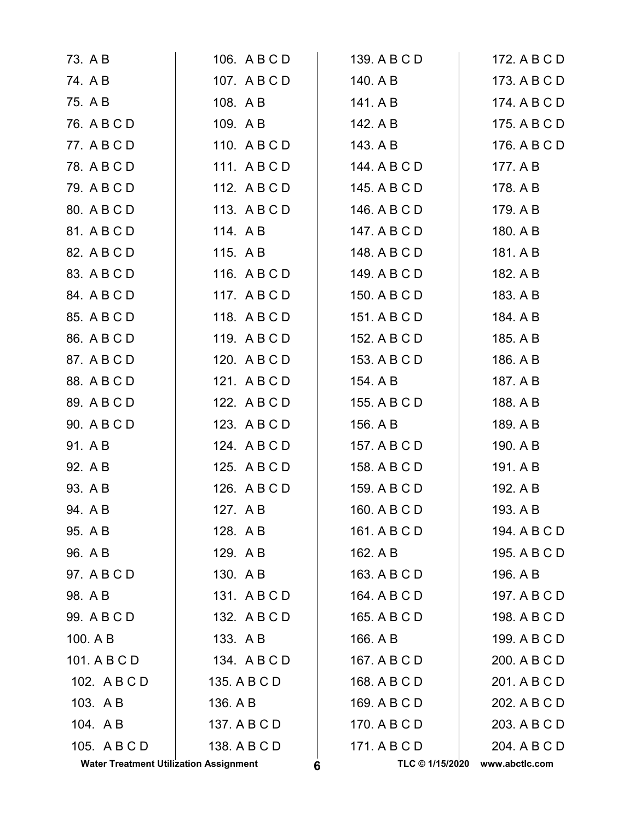| 78. A B C D                                   | 111. ABCD    | 144. A B C D         | 177. A B       |
|-----------------------------------------------|--------------|----------------------|----------------|
| 79. A B C D                                   | 112. ABCD    | 145. A B C D         | 178. A B       |
| 80. A B C D                                   | 113. ABCD    | 146. A B C D         | 179. A B       |
| 81. A B C D                                   | 114. AB      | 147. A B C D         | 180. A B       |
| 82. A B C D                                   | 115. A B     | 148. A B C D         | 181. A B       |
| 83. A B C D                                   | 116. A B C D | 149. A B C D         | 182. A B       |
| 84. A B C D                                   | 117. ABCD    | 150. A B C D         | 183. A B       |
| 85. A B C D                                   | 118. ABCD    | 151. A B C D         | 184. A B       |
| 86. A B C D                                   | 119. ABCD    | 152. A B C D         | 185. A B       |
| 87. A B C D                                   | 120. A B C D | 153. A B C D         | 186. A B       |
| 88. A B C D                                   | 121. A B C D | 154. A B             | 187. A B       |
| 89. A B C D                                   | 122. A B C D | 155. A B C D         | 188. A B       |
| 90. A B C D                                   | 123. ABCD    | 156. A B             | 189. A B       |
| 91. A B                                       | 124. A B C D | 157. A B C D         | 190. A B       |
| 92. A B                                       | 125. ABCD    | 158. A B C D         | 191. A B       |
| 93. A B                                       | 126. A B C D | 159. A B C D         | 192. A B       |
| 94. A B                                       | 127. AB      | 160. A B C D         | 193. A B       |
| 95. A B                                       | 128. AB      | 161. A B C D         | 194. A B C D   |
| 96. A B                                       | 129. AB      | 162. A B             | 195. A B C D   |
| 97. A B C D                                   | 130. AB      | 163. A B C D         | 196. A B       |
| 98. A B                                       | 131. ABCD    | 164. A B C D         | 197. A B C D   |
| 99. A B C D                                   | 132. A B C D | 165. A B C D         | 198. A B C D   |
| 100. A B                                      | 133. A B     | 166. A B             | 199. A B C D   |
| 101. A B C D                                  | 134. ABCD    | 167. A B C D         | 200. A B C D   |
| 102. A B C D                                  | 135. A B C D | 168. A B C D         | 201. A B C D   |
| 103. A B                                      | 136. A B     | 169. A B C D         | 202. A B C D   |
| 104. AB                                       | 137. A B C D | 170. A B C D         | 203. A B C D   |
| 105. A B C D                                  | 138. A B C D | 171. A B C D         | 204. A B C D   |
| <b>Water Treatment Utilization Assignment</b> |              | TLC © 1/15/2020<br>6 | www.abctlc.com |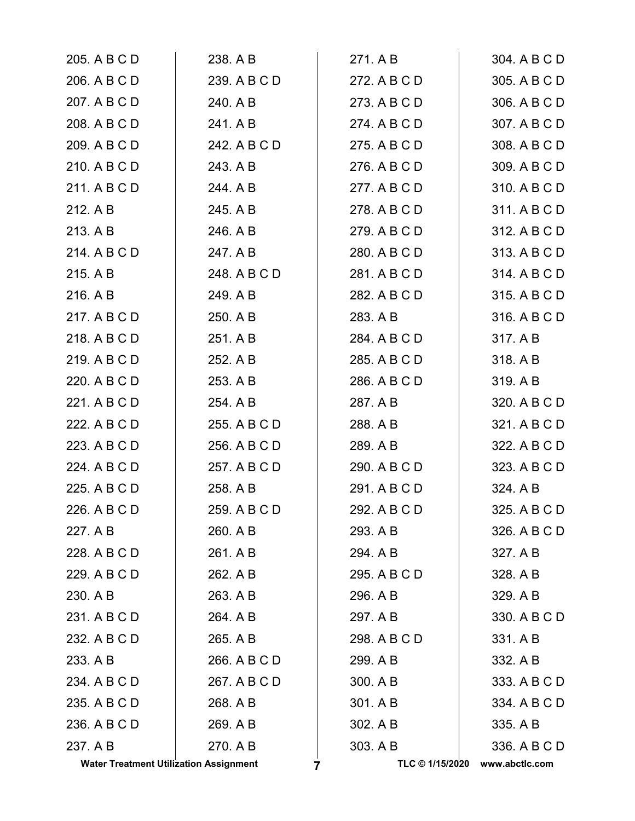| 205. A B C D                                  | 238. A B     | 271. A B             | 304. A B C D   |
|-----------------------------------------------|--------------|----------------------|----------------|
| 206. A B C D                                  | 239. A B C D | 272. A B C D         | 305. A B C D   |
| 207. A B C D                                  | 240. A B     | 273. A B C D         | 306. A B C D   |
| 208. A B C D                                  | 241. A B     | 274. A B C D         | 307. A B C D   |
| 209. A B C D                                  | 242. A B C D | 275. A B C D         | 308. A B C D   |
| 210. A B C D                                  | 243. A B     | 276. A B C D         | 309. A B C D   |
| 211. A B C D                                  | 244. A B     | 277. A B C D         | 310. A B C D   |
| 212. A B                                      | 245. A B     | 278. A B C D         | 311. A B C D   |
| 213. A B                                      | 246. A B     | 279. A B C D         | 312. A B C D   |
| 214. A B C D                                  | 247. A B     | 280. A B C D         | 313. A B C D   |
| 215. A B                                      | 248. A B C D | 281. A B C D         | 314. A B C D   |
| 216. A B                                      | 249. A B     | 282. A B C D         | 315. A B C D   |
| 217. A B C D                                  | 250. A B     | 283. A B             | 316. A B C D   |
| 218. A B C D                                  | 251. A B     | 284. A B C D         | 317. A B       |
| 219. A B C D                                  | 252. A B     | 285. A B C D         | 318. A B       |
| 220. A B C D                                  | 253. A B     | 286. A B C D         | 319. A B       |
| 221. A B C D                                  | 254. A B     | 287. A B             | 320. A B C D   |
| 222. A B C D                                  | 255. A B C D | 288. A B             | 321. A B C D   |
| 223. A B C D                                  | 256. A B C D | 289. A B             | 322. A B C D   |
| 224. A B C D                                  | 257. A B C D | 290. A B C D         | 323. A B C D   |
| 225. A B C D                                  | 258. A B     | 291. A B C D         | 324. A B       |
| 226. A B C D                                  | 259. A B C D | 292. A B C D         | 325. A B C D   |
| 227. A B                                      | 260. A B     | 293. A B             | 326. A B C D   |
| 228. A B C D                                  | 261. A B     | 294. A B             | 327. A B       |
| 229. A B C D                                  | 262. A B     | 295. A B C D         | 328. A B       |
| 230. A B                                      | 263. A B     | 296. A B             | 329. A B       |
| 231. A B C D                                  | 264. A B     | 297. A B             | 330. A B C D   |
| 232. A B C D                                  | 265. A B     | 298. A B C D         | 331. A B       |
| 233. A B                                      | 266. A B C D | 299. A B             | 332. A B       |
| 234. A B C D                                  | 267. A B C D | 300. A B             | 333. A B C D   |
| 235. A B C D                                  | 268. A B     | 301. A B             | 334. A B C D   |
| 236. A B C D                                  | 269. A B     | 302. A B             | 335. A B       |
| 237. A B                                      | 270. A B     | 303. A B             | 336. A B C D   |
| <b>Water Treatment Utilization Assignment</b> |              | TLC © 1/15/2020<br>7 | www.abctlc.com |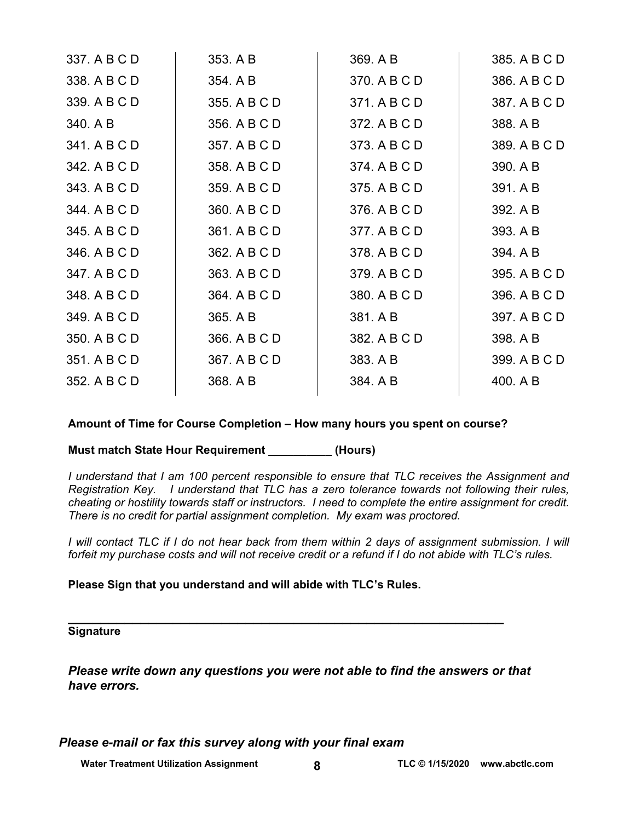| 337. A B C D | 353. A B     | 369. A B     | 385. A B C D |
|--------------|--------------|--------------|--------------|
| 338. A B C D | 354. A B     | 370. A B C D | 386. A B C D |
| 339. A B C D | 355. A B C D | 371. A B C D | 387. A B C D |
| 340. A B     | 356. A B C D | 372. A B C D | 388. A B     |
| 341. A B C D | 357. A B C D | 373. A B C D | 389. A B C D |
| 342. A B C D | 358. A B C D | 374. A B C D | 390. A B     |
| 343. A B C D | 359. A B C D | 375. A B C D | 391. A B     |
| 344. A B C D | 360. A B C D | 376. A B C D | 392. A B     |
| 345. A B C D | 361. A B C D | 377. A B C D | 393. A B     |
| 346. A B C D | 362. A B C D | 378. A B C D | 394. A B     |
| 347. A B C D | 363. A B C D | 379. A B C D | 395. A B C D |
| 348. A B C D | 364. A B C D | 380. A B C D | 396. A B C D |
| 349. A B C D | 365. A B     | 381. A B     | 397. A B C D |
| 350. A B C D | 366. A B C D | 382. A B C D | 398. A B     |
| 351. A B C D | 367. A B C D | 383. A B     | 399. A B C D |
| 352. A B C D | 368. A B     | 384. A B     | 400. A B     |
|              |              |              |              |

# **Amount of Time for Course Completion – How many hours you spent on course?**

**Must match State Hour Requirement \_\_\_\_\_\_\_\_\_\_ (Hours)** 

*I understand that I am 100 percent responsible to ensure that TLC receives the Assignment and Registration Key. I understand that TLC has a zero tolerance towards not following their rules, cheating or hostility towards staff or instructors. I need to complete the entire assignment for credit. There is no credit for partial assignment completion. My exam was proctored.* 

*I* will contact TLC if I do not hear back from them within 2 days of assignment submission. I will *forfeit my purchase costs and will not receive credit or a refund if I do not abide with TLC's rules.* 

**Please Sign that you understand and will abide with TLC's Rules.** 

# **\_\_\_\_\_\_\_\_\_\_\_\_\_\_\_\_\_\_\_\_\_\_\_\_\_\_\_\_\_\_\_\_\_\_\_\_\_\_\_\_\_\_\_\_\_\_\_\_\_\_\_\_\_\_ Signature**

*Please write down any questions you were not able to find the answers or that have errors.* 

*Please e-mail or fax this survey along with your final exam* 

**Water Treatment Utilization Assignment** 8 **8** TLC © 1/15/2020 **www.abctlc.com**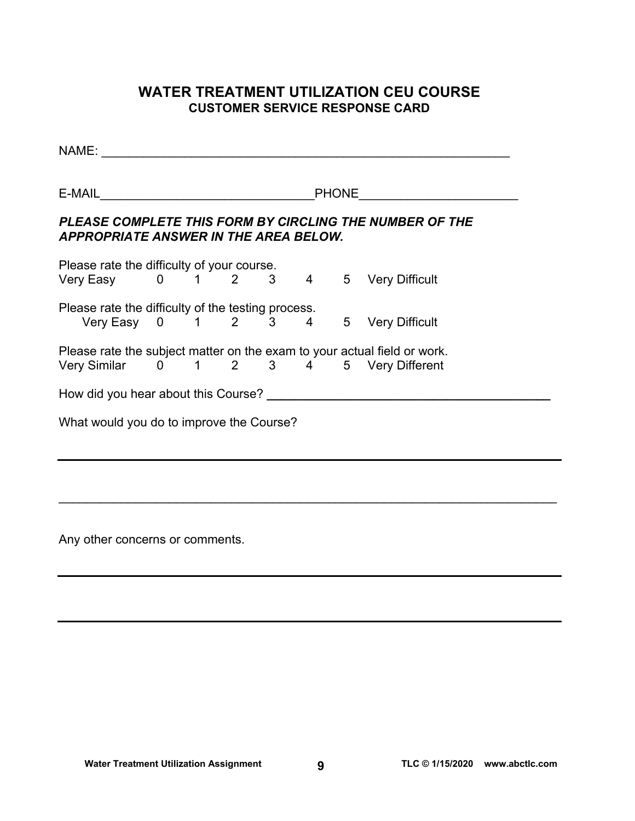# **WATER TREATMENT UTILIZATION CEU COURSE CUSTOMER SERVICE RESPONSE CARD**

| NAME:                                                                                            |  |  |  |  |                                                    |                                                                                                                                            |  |  |  |
|--------------------------------------------------------------------------------------------------|--|--|--|--|----------------------------------------------------|--------------------------------------------------------------------------------------------------------------------------------------------|--|--|--|
| <b>PHONE</b>                                                                                     |  |  |  |  |                                                    |                                                                                                                                            |  |  |  |
| PLEASE COMPLETE THIS FORM BY CIRCLING THE NUMBER OF THE<br>APPROPRIATE ANSWER IN THE AREA BELOW. |  |  |  |  |                                                    |                                                                                                                                            |  |  |  |
| Please rate the difficulty of your course.<br>Very Easy 0 1 2 3 4 5 Very Difficult               |  |  |  |  |                                                    |                                                                                                                                            |  |  |  |
|                                                                                                  |  |  |  |  | $5\overline{)}$                                    | <b>Very Difficult</b>                                                                                                                      |  |  |  |
|                                                                                                  |  |  |  |  |                                                    |                                                                                                                                            |  |  |  |
|                                                                                                  |  |  |  |  |                                                    |                                                                                                                                            |  |  |  |
| What would you do to improve the Course?                                                         |  |  |  |  |                                                    |                                                                                                                                            |  |  |  |
|                                                                                                  |  |  |  |  | Please rate the difficulty of the testing process. | Very Easy 0 1 2 3 4<br>Please rate the subject matter on the exam to your actual field or work.<br>Very Similar 0 1 2 3 4 5 Very Different |  |  |  |

 $\mathcal{L}_\mathcal{L} = \mathcal{L}_\mathcal{L} = \mathcal{L}_\mathcal{L} = \mathcal{L}_\mathcal{L} = \mathcal{L}_\mathcal{L} = \mathcal{L}_\mathcal{L} = \mathcal{L}_\mathcal{L} = \mathcal{L}_\mathcal{L} = \mathcal{L}_\mathcal{L} = \mathcal{L}_\mathcal{L} = \mathcal{L}_\mathcal{L} = \mathcal{L}_\mathcal{L} = \mathcal{L}_\mathcal{L} = \mathcal{L}_\mathcal{L} = \mathcal{L}_\mathcal{L} = \mathcal{L}_\mathcal{L} = \mathcal{L}_\mathcal{L}$ 

Any other concerns or comments.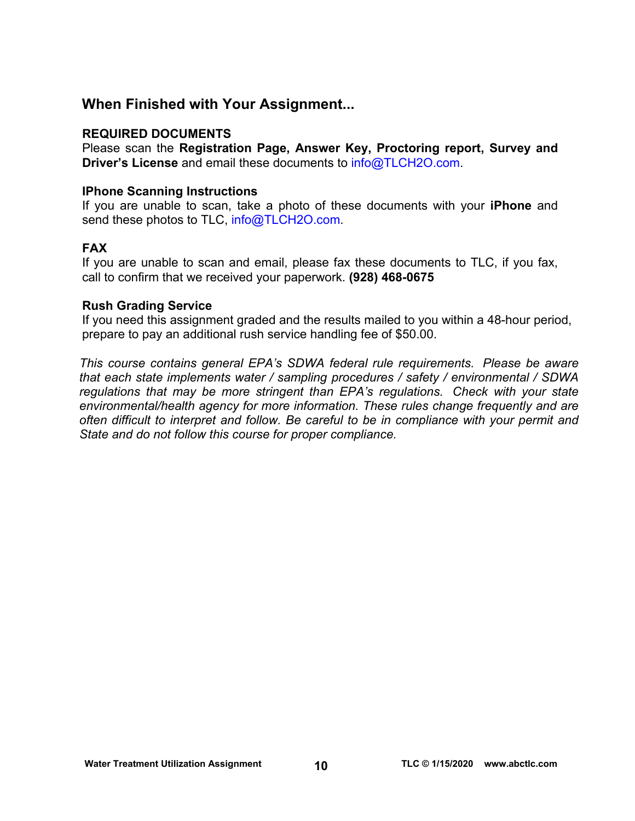# **When Finished with Your Assignment...**

# **REQUIRED DOCUMENTS**

Please scan the **Registration Page, Answer Key, Proctoring report, Survey and Driver's License** and email these documents to [info@TLCH2O.com.](mailto:info@TLCH2O.com) 

# **IPhone Scanning Instructions**

If you are unable to scan, take a photo of these documents with your **iPhone** and send these photos to TLC, info@TLCH2O.com.

# **FAX**

If you are unable to scan and email, please fax these documents to TLC, if you fax, call to confirm that we received your paperwork. **(928) 468-0675** 

# **Rush Grading Service**

If you need this assignment graded and the results mailed to you within a 48-hour period, prepare to pay an additional rush service handling fee of \$50.00.

*This course contains general EPA's SDWA federal rule requirements. Please be aware that each state implements water / sampling procedures / safety / environmental / SDWA regulations that may be more stringent than EPA's regulations. Check with your state environmental/health agency for more information. These rules change frequently and are often difficult to interpret and follow. Be careful to be in compliance with your permit and State and do not follow this course for proper compliance.*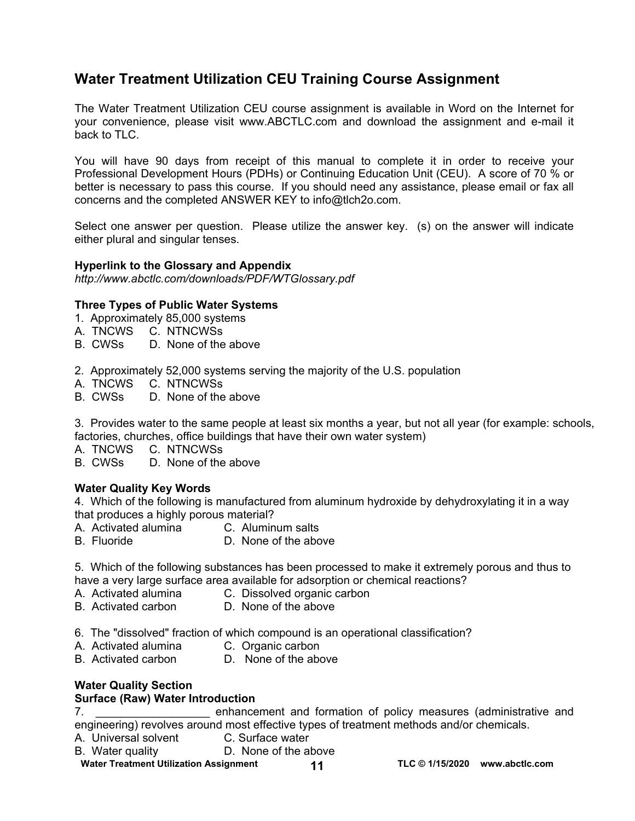# **Water Treatment Utilization CEU Training Course Assignment**

The Water Treatment Utilization CEU course assignment is available in Word on the Internet for your convenience, please visit [www.ABCTLC.com a](http://www.ABCTLC.com)nd download the assignment and e-mail it back to TLC.

You will have 90 days from receipt of this manual to complete it in order to receive your Professional Development Hours (PDHs) or Continuing Education Unit (CEU). A score of 70 % or better is necessary to pass this course. If you should need any assistance, please email or fax all concerns and the completed ANSWER KEY to [info@tlch2o.com.](mailto:info@tlch2o.com) 

Select one answer per question. Please utilize the answer key. (s) on the answer will indicate either plural and singular tenses.

### **Hyperlink to the Glossary and Appendix**

*<http://www.abctlc.com/downloads/PDF/WTGlossary.pdf>*

### **Three Types of Public Water Systems**

- 1. Approximately 85,000 systems
- A. TNCWS C. NTNCWSs
- B. CWSs D. None of the above
- 2. Approximately 52,000 systems serving the majority of the U.S. population
- A. TNCWS C. NTNCWSs
- B. CWSs D. None of the above

3.Provides water to the same people at least six months a year, but not all year (for example: schools, factories, churches, office buildings that have their own water system)

- A. TNCWS C. NTNCWSs
- B. CWSs D. None of the above

# **Water Quality Key Words**

4. Which of the following is manufactured from aluminum hydroxide by dehydroxylating it in a way that produces a highly porous material?

- A. Activated alumina C. Aluminum salts
- B. Fluoride D. None of the above

5. Which of the following substances has been processed to make it extremely porous and thus to have a very large surface area available for adsorption or chemical reactions?<br>A. Activated alumina C. Dissolved organic carbon

- C. Dissolved organic carbon
- B. Activated carbon D. None of the above
- 6. The "dissolved" fraction of which compound is an operational classification?
- A. Activated alumina C. Organic carbon
- B. Activated carbon D. None of the above

# **Water Quality Section**

### **Surface (Raw) Water Introduction**

7. \_\_\_\_\_\_\_\_\_\_\_\_\_\_\_\_\_\_ enhancement and formation of policy measures (administrative and engineering) revolves around most effective types of treatment methods and/or chemicals.

- A. Universal solvent C. Surface water
- B. Water quality D. None of the above

Water Treatment Utilization Assignment 11 11 TLC © 1/15/2020 www.abctlc.com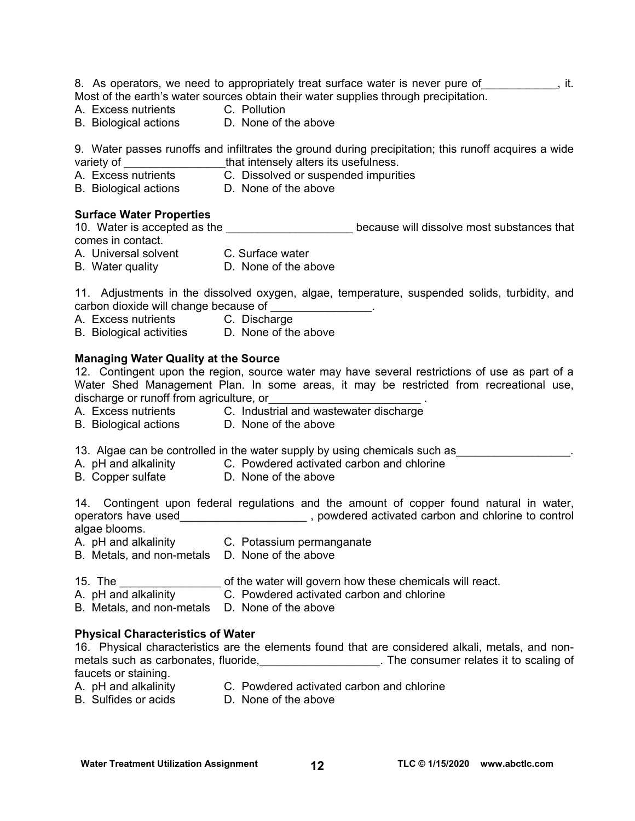8. As operators, we need to appropriately treat surface water is never pure of  $\qquad \qquad$ , it. Most of the earth's water sources obtain their water supplies through precipitation.

- A. Excess nutrients C. Pollution
- B. Biological actions D. None of the above

9. Water passes runoffs and infiltrates the ground during precipitation; this runoff acquires a wide variety of \_\_\_\_\_\_\_\_\_\_\_\_\_\_\_\_that intensely alters its usefulness.

- C. Dissolved or suspended impurities D. None of the above
- B. Biological actions

### **Surface Water Properties**

10. Water is accepted as the **the controller in the cause will dissolve most substances that** comes in contact.

- A. Universal solvent C. Surface water
- B. Water quality D. None of the above

11. Adjustments in the dissolved oxygen, algae, temperature, suspended solids, turbidity, and carbon dioxide will change because of \_\_\_\_\_\_\_\_\_\_\_\_\_\_\_\_.

- A. Excess nutrients C. Discharge
- B. Biological activities D. None of the above

### **Managing Water Quality at the Source**

12. Contingent upon the region, source water may have several restrictions of use as part of a Water Shed Management Plan. In some areas, it may be restricted from recreational use, discharge or runoff from agriculture, or<br>
<u>equal</u>

- A. Excess nutrients C. Industrial and wastewater discharge
- B. Biological actions D. None of the above
	-

13. Algae can be controlled in the water supply by using chemicals such as

- A. pH and alkalinity C. Powdered activated carbon and chlorine
- B. Copper sulfate D. None of the above

14. Contingent upon federal regulations and the amount of copper found natural in water, operators have used\_\_\_\_\_\_\_\_\_\_\_\_\_\_\_\_\_\_\_\_ , powdered activated carbon and chlorine to control algae blooms.

- A. pH and alkalinity C. Potassium permanganate
- B. Metals, and non-metals D. None of the above
	-
- 15. The **the same of the water will govern how these chemicals will react.**
- A. pH and alkalinity C. Powdered activated carbon and chlorine
- B. Metals, and non-metals D. None of the above

### **Physical Characteristics of Water**

16. Physical characteristics are the elements found that are considered alkali, metals, and nonmetals such as carbonates, fluoride, the consumer relates it to scaling of faucets or staining.

- A. pH and alkalinity C. Powdered activated carbon and chlorine
- 
- B. Sulfides or acids D. None of the above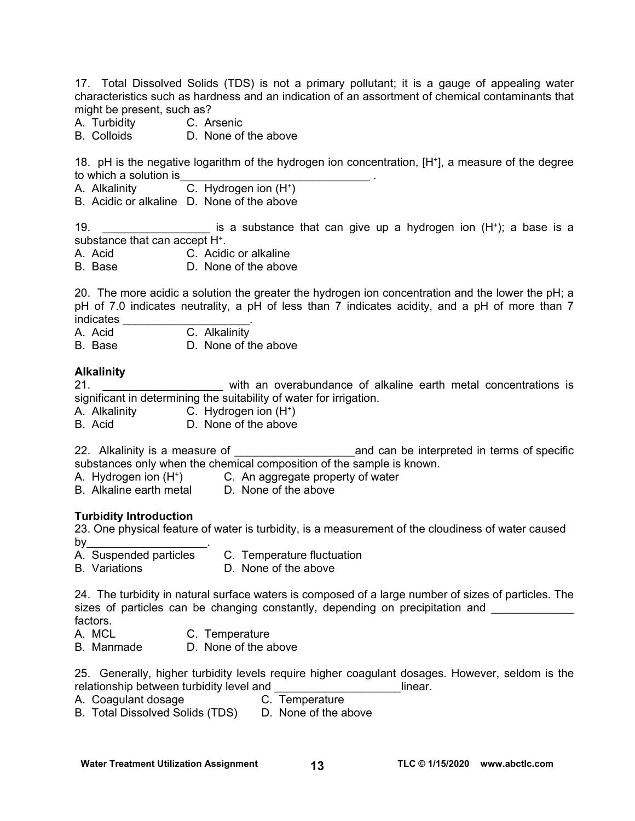17. Total Dissolved Solids (TDS) is not a primary pollutant; it is a gauge of appealing water characteristics such as hardness and an indication of an assortment of chemical contaminants that might be present, such as?

- A. Turbidity C. Arsenic
- B. Colloids D. None of the above

18. pH is the negative logarithm of the hydrogen ion concentration, [H+], a measure of the degree to which a solution is

- A. Alkalinity C. Hydrogen ion (H+)
- B. Acidic or alkaline D. None of the above

19. \_\_\_\_\_\_\_\_\_\_\_\_\_\_\_\_\_ is a substance that can give up a hydrogen ion (H+); a base is a substance that can accept H+.

- A. Acid C. Acidic or alkaline
- B. Base D. None of the above

20. The more acidic a solution the greater the hydrogen ion concentration and the lower the pH; a pH of 7.0 indicates neutrality, a pH of less than 7 indicates acidity, and a pH of more than 7 indicates

A. Acid C. Alkalinity

B. Base D. None of the above

### **Alkalinity**

21. \_\_\_\_\_\_\_\_\_\_\_\_\_\_\_\_\_\_\_ with an overabundance of alkaline earth metal concentrations is significant in determining the suitability of water for irrigation.

- A. Alkalinity C. Hydrogen ion (H+)
- B. Acid D. None of the above

22. Alkalinity is a measure of **Exercise 22.** Alkalinity is a measure of substances only when the chemical composition of the sample is known.

- A. Hydrogen ion (H+) C. An aggregate property of water
- B. Alkaline earth metal D. None of the above

### **Turbidity Introduction**

23. One physical feature of water is turbidity, is a measurement of the cloudiness of water caused by $\overline{\phantom{a}}$ 

- A. Suspended particles C. Temperature fluctuation
- B. Variations **D. None of the above**

24. The turbidity in natural surface waters is composed of a large number of sizes of particles. The sizes of particles can be changing constantly, depending on precipitation and factors.

- A. MCL C. Temperature
- B. Manmade D. None of the above
- 25. Generally, higher turbidity levels require higher coagulant dosages. However, seldom is the relationship between turbidity level and **Example 2018** 1 linear.
- A. Coagulant dosage **C. Temperature**
- B. Total Dissolved Solids (TDS) D. None of the above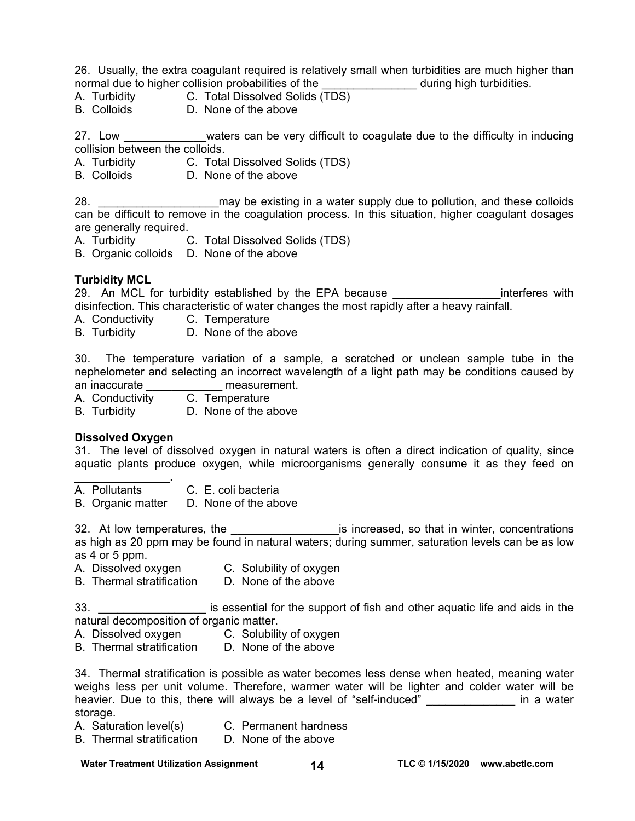26. Usually, the extra coagulant required is relatively small when turbidities are much higher than normal due to higher collision probabilities of the during high turbidities.

A. Turbidity C. Total Dissolved Solids (TDS)

B. Colloids D. None of the above

27. Low waters can be very difficult to coagulate due to the difficulty in inducing collision between the colloids.

- A. Turbidity C. Total Dissolved Solids (TDS)
- B. Colloids D. None of the above

28. \_\_\_\_\_\_\_\_\_\_\_\_\_\_\_\_\_\_\_may be existing in a water supply due to pollution, and these colloids can be difficult to remove in the coagulation process. In this situation, higher coagulant dosages are generally required.

- A. Turbidity C. Total Dissolved Solids (TDS)
- B. Organic colloids D. None of the above

# **Turbidity MCL**

29. An MCL for turbidity established by the EPA because **EXAL and SO interferes with** disinfection. This characteristic of water changes the most rapidly after a heavy rainfall.

A. Conductivity C. Temperature

B. Turbidity D. None of the above

30. The temperature variation of a sample, a scratched or unclean sample tube in the nephelometer and selecting an incorrect wavelength of a light path may be conditions caused by an inaccurate **and interest**.

A. Conductivity C. Temperature

B. Turbidity D. None of the above

### **Dissolved Oxygen**

 $\mathcal{L}_\text{max}$  , we have the set of  $\mathcal{L}_\text{max}$ 

31. The level of dissolved oxygen in natural waters is often a direct indication of quality, since aquatic plants produce oxygen, while microorganisms generally consume it as they feed on

A. Pollutants C. E. coli bacteria

B. Organic matter D. None of the above

32. At low temperatures, the \_\_\_\_\_\_\_\_\_\_\_\_\_\_\_\_\_\_\_\_\_\_\_\_\_\_\_\_is increased, so that in winter, concentrations as high as 20 ppm may be found in natural waters; during summer, saturation levels can be as low as 4 or 5 ppm.

- A. Dissolved oxygen C. Solubility of oxygen<br>B. Thermal stratification D. None of the above
- B. Thermal stratification

33. \_\_\_\_\_\_\_\_\_\_\_\_\_\_\_\_\_ is essential for the support of fish and other aquatic life and aids in the natural decomposition of organic matter.

- A. Dissolved oxygen C. Solubility of oxygen
- B. Thermal stratification D. None of the above

34. Thermal stratification is possible as water becomes less dense when heated, meaning water weighs less per unit volume. Therefore, warmer water will be lighter and colder water will be heavier. Due to this, there will always be a level of "self-induced" and the value in a water storage.

- A. Saturation level(s) C. Permanent hardness
- B. Thermal stratification D. None of the above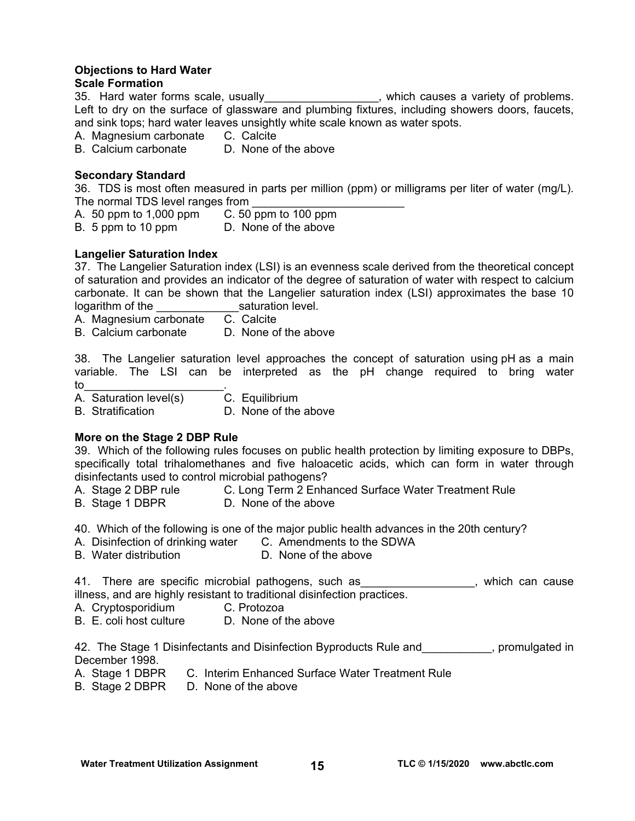# **Objections to Hard Water**

# **Scale Formation**

35. Hard water forms scale, usually\_\_\_\_\_\_\_\_\_\_\_\_\_\_\_\_\_, which causes a variety of problems. Left to dry on the surface of glassware and plumbing fixtures, including showers doors, faucets, and sink tops; hard water leaves unsightly white scale known as water spots.

A. Magnesium carbonate C. Calcite

B. Calcium carbonate D. None of the above

# **Secondary Standard**

36. TDS is most often measured in parts per million (ppm) or milligrams per liter of water (mg/L). The normal TDS level ranges from

- A. 50 ppm to 1,000 ppm C. 50 ppm to 100 ppm
- B. 5 ppm to 10 ppm D. None of the above

# **Langelier Saturation Index**

37. The Langelier Saturation index (LSI) is an evenness scale derived from the theoretical concept of saturation and provides an indicator of the degree of saturation of water with respect to calcium carbonate. It can be shown that the Langelier saturation index (LSI) approximates the base 10 logarithm of the \_\_\_\_\_\_\_\_\_\_\_\_\_saturation level.

A. Magnesium carbonate C. Calcite

B. Calcium carbonate D. None of the above

38. The Langelier saturation level approaches the concept of saturation using pH as a main variable. The LSI can be interpreted as the pH change required to bring water to the set of  $\sim$  . The set of  $\sim$   $\sim$ 

A. Saturation level(s) C. Equilibrium

B. Stratification D. None of the above

# **More on the Stage 2 DBP Rule**

39. Which of the following rules focuses on public health protection by limiting exposure to DBPs, specifically total trihalomethanes and five haloacetic acids, which can form in water through disinfectants used to control microbial pathogens?

- A. Stage 2 DBP rule **C. Long Term 2 Enhanced Surface Water Treatment Rule**
- B. Stage 1 DBPR D. None of the above

40. Which of the following is one of the major public health advances in the 20th century?

- A. Disinfection of drinking water C. Amendments to the SDWA
- B. Water distribution **D. None of the above**

41. There are specific microbial pathogens, such as The manney which can cause illness, and are highly resistant to traditional disinfection practices.

- A. Cryptosporidium C. Protozoa
- B. E. coli host culture D. None of the above

42. The Stage 1 Disinfectants and Disinfection Byproducts Rule and \_\_\_\_\_\_\_\_, promulgated in December 1998.

- A. Stage 1 DBPR C. Interim Enhanced Surface Water Treatment Rule
- B. Stage 2 DBPR D. None of the above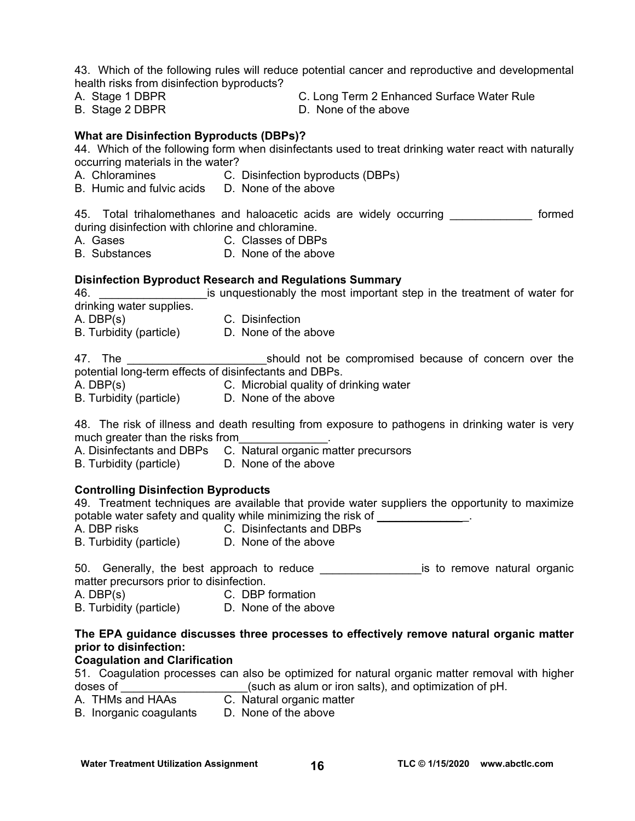43. Which of the following rules will reduce potential cancer and reproductive and developmental health risks from disinfection byproducts?

- 
- 
- A. Stage 1 DBPR C. Long Term 2 Enhanced Surface Water Rule
- B. Stage 2 DBPR D. None of the above

### **What are Disinfection Byproducts (DBPs)?**

44. Which of the following form when disinfectants used to treat drinking water react with naturally occurring materials in the water?

- A. Chloramines C. Disinfection byproducts (DBPs)
- B. Humic and fulvic acids D. None of the above

45. Total trihalomethanes and haloacetic acids are widely occurring entity formed during disinfection with chlorine and chloramine.

- A. Gases C. Classes of DBPs
- B. Substances D. None of the above

#### **Disinfection Byproduct Research and Regulations Summary**

46. **Example 10** is unquestionably the most important step in the treatment of water for drinking water supplies. A. DBP(s) C. Disinfection B. Turbidity (particle) D. None of the above

47. The **Example 20** is the should not be compromised because of concern over the potential long-term effects of disinfectants and DBPs.

- A. DBP(s) C. Microbial quality of drinking water
- B. Turbidity (particle) D. None of the above

48. The risk of illness and death resulting from exposure to pathogens in drinking water is very much greater than the risks from

A. Disinfectants and DBPs C. Natural organic matter precursors

B. Turbidity (particle) D. None of the above

### **Controlling Disinfection Byproducts**

49. Treatment techniques are available that provide water suppliers the opportunity to maximize potable water safety and quality while minimizing the risk of \_\_\_\_\_\_\_\_\_\_\_\_\_\_\_\_\_.

- 
- A. DBP risks C. Disinfectants and DBPs
- B. Turbidity (particle) D. None of the above

| 50. Generally, the best approach to reduce |  |  |  |  | is to remove natural organic |  |
|--------------------------------------------|--|--|--|--|------------------------------|--|
| matter precursors prior to disinfection.   |  |  |  |  |                              |  |

A. DBP(s) C. DBP formation

B. Turbidity (particle) D. None of the above

# **The EPA guidance discusses three processes to effectively remove natural organic matter prior to disinfection:**

### **Coagulation and Clarification**

51. Coagulation processes can also be optimized for natural organic matter removal with higher doses of  $\qquad \qquad$  (such as alum or iron salts), and optimization of pH.

- A. THMs and HAAs **C.** Natural organic matter
- B. Inorganic coagulants D. None of the above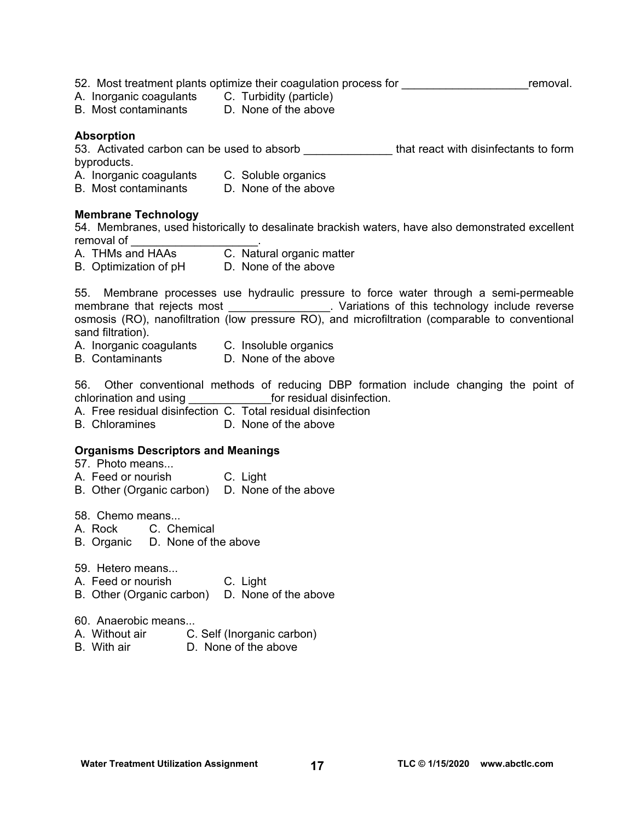52. Most treatment plants optimize their coagulation process for **the entity of the set of the set of the set of** removal.

- A. Inorganic coagulants C. Turbidity (particle)
- B. Most contaminants D. None of the above

### **Absorption**

53. Activated carbon can be used to absorb **that react with disinfectants to form** byproducts.

- A. Inorganic coagulants C. Soluble organics<br>B. Most contaminants D. None of the above
- B. Most contaminants

### **Membrane Technology**

54. Membranes, used historically to desalinate brackish waters, have also demonstrated excellent removal of

- A. THMs and HAAs C. Natural organic matter
- B. Optimization of pH D. None of the above

55. Membrane processes use hydraulic pressure to force water through a semi-permeable membrane that rejects most \_\_\_\_\_\_\_\_\_\_\_\_\_\_\_\_\_. Variations of this technology include reverse osmosis (RO), nanofiltration (low pressure RO), and microfiltration (comparable to conventional sand filtration).

- A. Inorganic coagulants C. Insoluble organics
- B. Contaminants D. None of the above

56. Other conventional methods of reducing DBP formation include changing the point of chlorination and using example of residual disinfection.

- A. Free residual disinfection C. Total residual disinfection
- B. Chloramines D. None of the above

### **Organisms Descriptors and Meanings**

57. Photo means...

- A. Feed or nourish C. Light
- B. Other (Organic carbon) D. None of the above

58. Chemo means...

- A. Rock C. Chemical
- B. Organic D. None of the above
- 59. Hetero means...
- A. Feed or nourish C. Light
- B. Other (Organic carbon) D. None of the above
- 60. Anaerobic means...
- A. Without air C. Self (Inorganic carbon)
- B. With air **D. None of the above**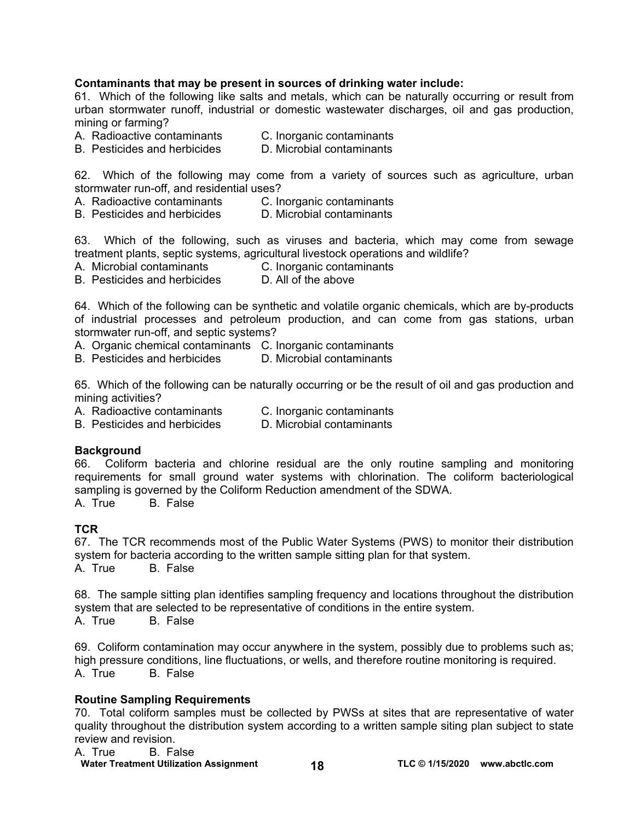# **Contaminants that may be present in sources of drinking water include:**

61. Which of the following like salts and metals, which can be naturally occurring or result from urban stormwater runoff, industrial or domestic wastewater discharges, oil and gas production, mining or farming?

- A. Radioactive contaminants C. Inorganic contaminants
- B. Pesticides and herbicides D. Microbial contaminants

62. Which of the following may come from a variety of sources such as agriculture, urban stormwater run-off, and residential uses?

- A. Radioactive contaminants C. Inorganic contaminants
- B. Pesticides and herbicides D. Microbial contaminants

63. Which of the following, such as viruses and bacteria, which may come from sewage treatment plants, septic systems, agricultural livestock operations and wildlife?

- A. Microbial contaminants C. Inorganic contaminants
- B. Pesticides and herbicides D. All of the above

64. Which of the following can be synthetic and volatile organic chemicals, which are by-products of industrial processes and petroleum production, and can come from gas stations, urban stormwater run-off, and septic systems?

A. Organic chemical contaminants C. Inorganic contaminants

B. Pesticides and herbicides D. Microbial contaminants

65. Which of the following can be naturally occurring or be the result of oil and gas production and mining activities?

- A. Radioactive contaminants C. Inorganic contaminants
- B. Pesticides and herbicides D. Microbial contaminants

# **Background**

66. Coliform bacteria and chlorine residual are the only routine sampling and monitoring requirements for small ground water systems with chlorination. The coliform bacteriological sampling is governed by the Coliform Reduction amendment of the SDWA.

A. True B. False

# **TCR**

67. The TCR recommends most of the Public Water Systems (PWS) to monitor their distribution system for bacteria according to the written sample sitting plan for that system. A. True B. False

68. The sample sitting plan identifies sampling frequency and locations throughout the distribution system that are selected to be representative of conditions in the entire system.

A. True B. False

69. Coliform contamination may occur anywhere in the system, possibly due to problems such as; high pressure conditions, line fluctuations, or wells, and therefore routine monitoring is required.<br>A. True B. False **B.** False

# **Routine Sampling Requirements**

70. Total coliform samples must be collected by PWSs at sites that are representative of water quality throughout the distribution system according to a written sample siting plan subject to state review and revision.

A. True B. False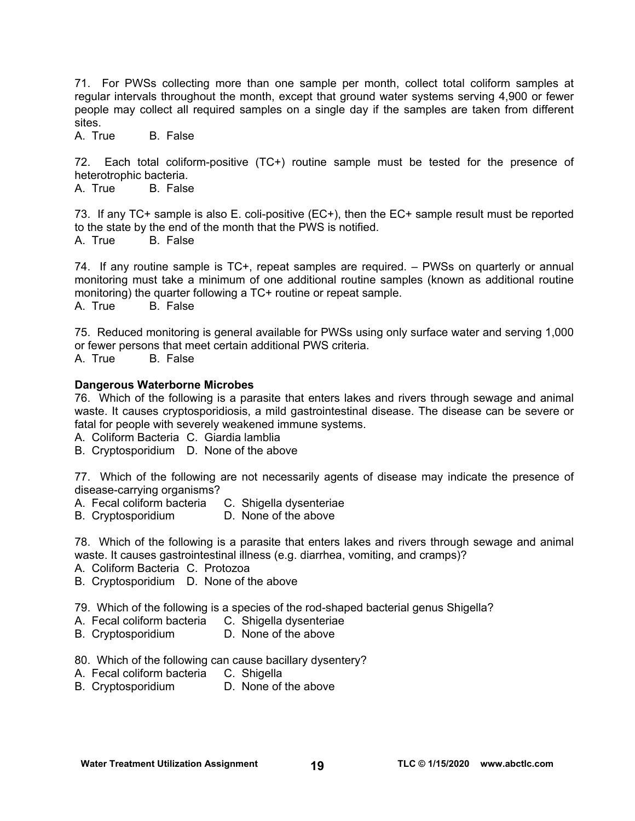71. For PWSs collecting more than one sample per month, collect total coliform samples at regular intervals throughout the month, except that ground water systems serving 4,900 or fewer people may collect all required samples on a single day if the samples are taken from different sites.

A. True B. False

72. Each total coliform-positive (TC+) routine sample must be tested for the presence of heterotrophic bacteria.<br>A. True B. False

B. False

73. If any TC+ sample is also E. coli-positive (EC+), then the EC+ sample result must be reported to the state by the end of the month that the PWS is notified. A. True B. False

74. If any routine sample is TC+, repeat samples are required. – PWSs on quarterly or annual monitoring must take a minimum of one additional routine samples (known as additional routine monitoring) the quarter following a TC+ routine or repeat sample. A. True B. False

75. Reduced monitoring is general available for PWSs using only surface water and serving 1,000 or fewer persons that meet certain additional PWS criteria. A. True B. False

### **Dangerous Waterborne Microbes**

76. Which of the following is a parasite that enters lakes and rivers through sewage and animal waste. It causes cryptosporidiosis, a mild gastrointestinal disease. The disease can be severe or fatal for people with severely weakened immune systems.

A. Coliform Bacteria C. Giardia lamblia

B. Cryptosporidium D. None of the above

77. Which of the following are not necessarily agents of disease may indicate the presence of disease-carrying organisms?

- A. Fecal coliform bacteria C. Shigella dysenteriae
- B. Cryptosporidium D. None of the above

78. Which of the following is a parasite that enters lakes and rivers through sewage and animal waste. It causes gastrointestinal illness (e.g. diarrhea, vomiting, and cramps)?

- A. Coliform Bacteria C. Protozoa
- B. Cryptosporidium D. None of the above

79. Which of the following is a species of the rod-shaped bacterial genus Shigella?

- A. Fecal coliform bacteria C. Shigella dysenteriae
- B. Cryptosporidium D. None of the above
- 80. Which of the following can cause bacillary dysentery?
- A. Fecal coliform bacteria C. Shigella
- B. Cryptosporidium D. None of the above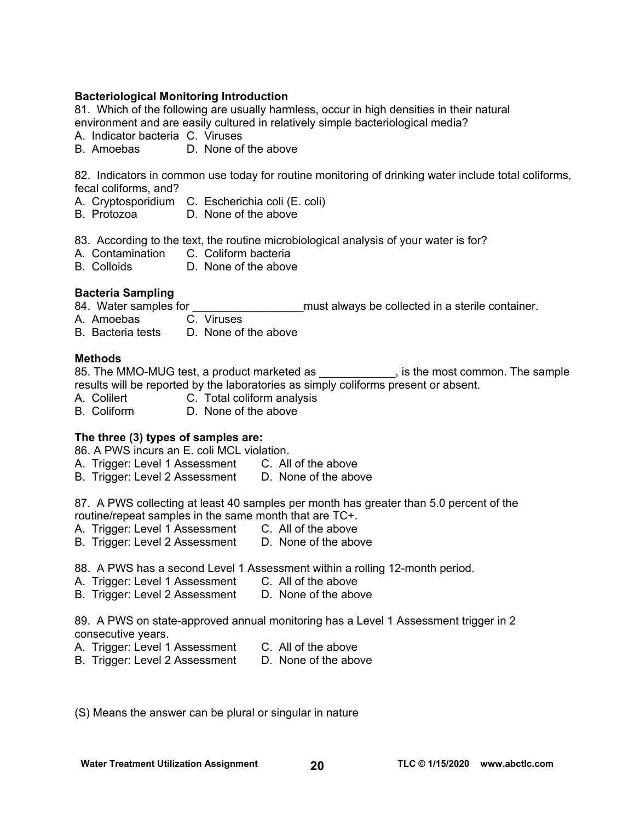# **Bacteriological Monitoring Introduction**

81. Which of the following are usually harmless, occur in high densities in their natural environment and are easily cultured in relatively simple bacteriological media?

- A. Indicator bacteria C. Viruses
- B. Amoebas D. None of the above

82. Indicators in common use today for routine monitoring of drinking water include total coliforms, fecal coliforms, and?

- A. Cryptosporidium C. Escherichia coli (E. coli)
- B. Protozoa D. None of the above

83. According to the text, the routine microbiological analysis of your water is for?

- A. Contamination C. Coliform bacteria
- B. Colloids D. None of the above

### **Bacteria Sampling**

84. Water samples for **Exercise 20** must always be collected in a sterile container.

A. Amoebas C. Viruses

B. Bacteria tests D. None of the above

### **Methods**

85. The MMO-MUG test, a product marketed as  $\qquad \qquad$ , is the most common. The sample results will be reported by the laboratories as simply coliforms present or absent.

- A. Colilert **C. Total coliform analysis**
- B. Coliform D. None of the above

### **The three (3) types of samples are:**

86. A PWS incurs an E. coli MCL violation.

- A. Trigger: Level 1 Assessment C. All of the above
- B. Trigger: Level 2 Assessment D. None of the above

87. A PWS collecting at least 40 samples per month has greater than 5.0 percent of the routine/repeat samples in the same month that are TC+.

- A. Trigger: Level 1 Assessment C. All of the above
- B. Trigger: Level 2 Assessment D. None of the above
- 88. A PWS has a second Level 1 Assessment within a rolling 12-month period.
- A. Trigger: Level 1 Assessment C. All of the above
- B. Trigger: Level 2 Assessment D. None of the above

89. A PWS on state-approved annual monitoring has a Level 1 Assessment trigger in 2 consecutive years.

- A. Trigger: Level 1 Assessment C. All of the above
	-
- B. Trigger: Level 2 Assessment D. None of the above
- (S) Means the answer can be plural or singular in nature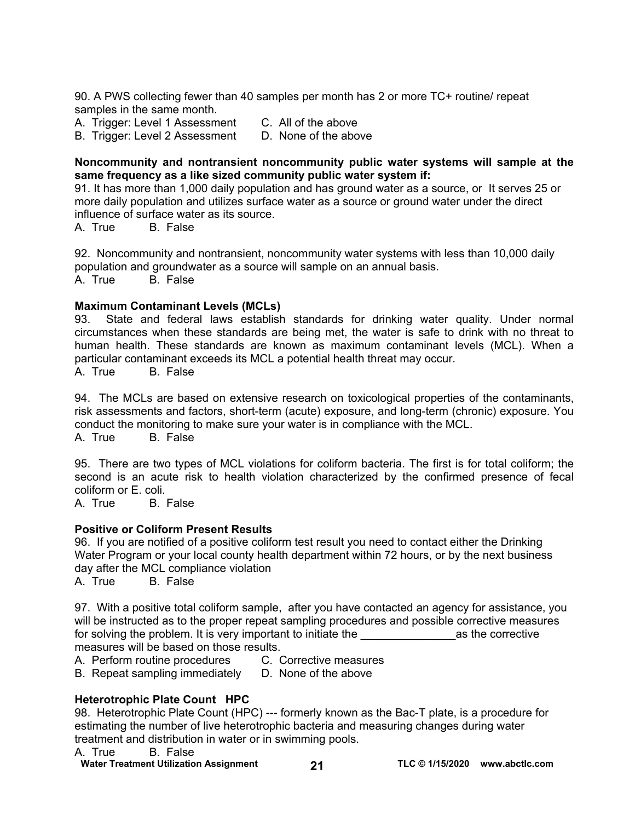90. A PWS collecting fewer than 40 samples per month has 2 or more TC+ routine/ repeat samples in the same month.

A. Trigger: Level 1 Assessment C. All of the above

B. Trigger: Level 2 Assessment D. None of the above

### **Noncommunity and nontransient noncommunity public water systems will sample at the same frequency as a like sized community public water system if:**

91. It has more than 1,000 daily population and has ground water as a source, or It serves 25 or more daily population and utilizes surface water as a source or ground water under the direct influence of surface water as its source.

A. True B. False

92. Noncommunity and nontransient, noncommunity water systems with less than 10,000 daily population and groundwater as a source will sample on an annual basis.

A. True B. False

### **Maximum Contaminant Levels (MCLs)**

93. State and federal laws establish standards for drinking water quality. Under normal circumstances when these standards are being met, the water is safe to drink with no threat to human health. These standards are known as maximum contaminant levels (MCL). When a particular contaminant exceeds its MCL a potential health threat may occur.

A. True B. False

94. The MCLs are based on extensive research on toxicological properties of the contaminants, risk assessments and factors, short-term (acute) exposure, and long-term (chronic) exposure. You conduct the monitoring to make sure your water is in compliance with the MCL.

A. True B. False

95. There are two types of MCL violations for coliform bacteria. The first is for total coliform; the second is an acute risk to health violation characterized by the confirmed presence of fecal coliform or E. coli.

A. True B. False

# **Positive or Coliform Present Results**

96. If you are notified of a positive coliform test result you need to contact either the Drinking Water Program or your local county health department within 72 hours, or by the next business day after the MCL compliance violation

A. True B. False

97. With a positive total coliform sample, after you have contacted an agency for assistance, you will be instructed as to the proper repeat sampling procedures and possible corrective measures for solving the problem. It is very important to initiate the example of the corrective measures will be based on those results.

A. Perform routine procedures C. Corrective measures

B. Repeat sampling immediately D. None of the above

# **Heterotrophic Plate Count HPC**

98. Heterotrophic Plate Count (HPC) --- formerly known as the Bac-T plate, is a procedure for estimating the number of live heterotrophic bacteria and measuring changes during water treatment and distribution in water or in swimming pools.

A. True B. False

**Water Treatment Utilization Assignment 21 TLC © 1/15/2020 [www.abctlc.com](http://www.abctlc.com)**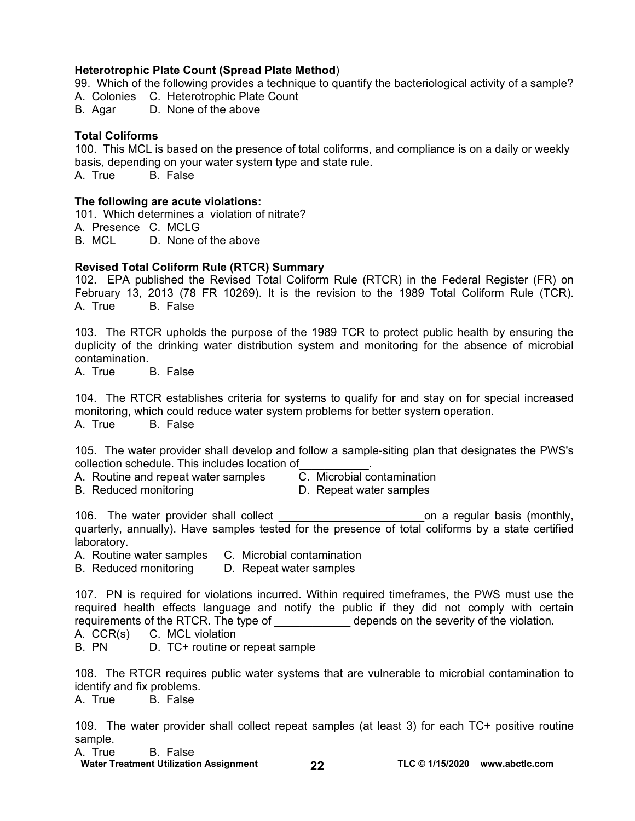### **Heterotrophic Plate Count (Spread Plate Method**)

99. Which of the following provides a technique to quantify the bacteriological activity of a sample? A. Colonies C. Heterotrophic Plate Count

B. Agar D. None of the above

### **Total Coliforms**

100. This MCL is based on the presence of total coliforms, and compliance is on a daily or weekly basis, depending on your water system type and state rule. A. True B. False

### **The following are acute violations:**

101. Which determines a violation of nitrate? A. Presence C. MCLG B. MCL D. None of the above

### **Revised Total Coliform Rule (RTCR) Summary**

102. EPA published the Revised Total Coliform Rule (RTCR) in the Federal Register (FR) on February 13, 2013 (78 FR 10269). It is the revision to the 1989 Total Coliform Rule (TCR). A. True B. False

103. The RTCR upholds the purpose of the 1989 TCR to protect public health by ensuring the duplicity of the drinking water distribution system and monitoring for the absence of microbial contamination.<br>A. True

**B.** False

104. The RTCR establishes criteria for systems to qualify for and stay on for special increased monitoring, which could reduce water system problems for better system operation. A. True B. False

105. The water provider shall develop and follow a sample-siting plan that designates the PWS's collection schedule. This includes location of<br>A. Routine and repeat water samples <br>C. Microbial contamination

- A. Routine and repeat water samples
- B. Reduced monitoring D. Repeat water samples
- 

106. The water provider shall collect the state of the control on a regular basis (monthly, quarterly, annually). Have samples tested for the presence of total coliforms by a state certified laboratory.

A. Routine water samples C. Microbial contamination

B. Reduced monitoring D. Repeat water samples

107. PN is required for violations incurred. Within required timeframes, the PWS must use the required health effects language and notify the public if they did not comply with certain requirements of the RTCR. The type of The severity of the violation.

A. CCR(s) C. MCL violation

B. PN D. TC+ routine or repeat sample

108. The RTCR requires public water systems that are vulnerable to microbial contamination to identify and fix problems.

A. True B. False

109. The water provider shall collect repeat samples (at least 3) for each TC+ positive routine sample.

A. True B. False

**Water Treatment Utilization Assignment 22 TLC © 1/15/2020 [www.abctlc.com](http://www.abctlc.com)**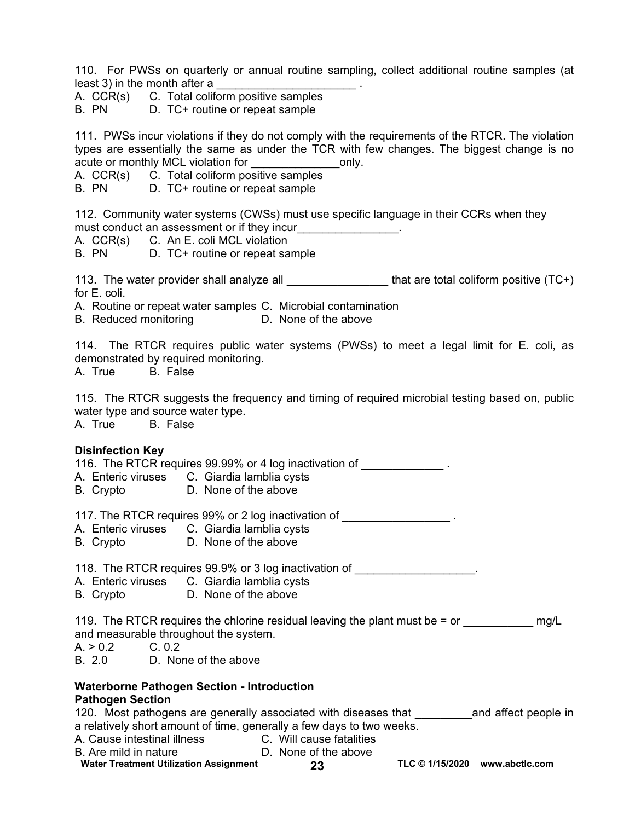110. For PWSs on quarterly or annual routine sampling, collect additional routine samples (at least 3) in the month after a

A. CCR(s) C. Total coliform positive samples

B. PN D. TC+ routine or repeat sample

111. PWSs incur violations if they do not comply with the requirements of the RTCR. The violation types are essentially the same as under the TCR with few changes. The biggest change is no acute or monthly MCL violation for The Conductor only.

A. CCR(s) C. Total coliform positive samples

B. PN D. TC+ routine or repeat sample

112. Community water systems (CWSs) must use specific language in their CCRs when they must conduct an assessment or if they incur

- A. CCR(s) C. An E. coli MCL violation
- B. PN D. TC+ routine or repeat sample

113. The water provider shall analyze all **the set of the set of the set of the vert** of the value (TC+) for E. coli.

A. Routine or repeat water samples C. Microbial contamination

B. Reduced monitoring D. None of the above

114. The RTCR requires public water systems (PWSs) to meet a legal limit for E. coli, as demonstrated by required monitoring.

A. True B. False

115. The RTCR suggests the frequency and timing of required microbial testing based on, public water type and source water type.

A. True B. False

### **Disinfection Key**

116. The RTCR requires 99.99% or 4 log inactivation of

- A. Enteric viruses C. Giardia lamblia cysts
- B. Crypto D. None of the above

117. The RTCR requires 99% or 2 log inactivation of \_\_\_\_\_\_\_\_\_\_\_\_\_\_\_\_\_\_\_\_\_.

- A. Enteric viruses C. Giardia lamblia cysts
- B. Crypto D. None of the above

118. The RTCR requires 99.9% or 3 log inactivation of

- A. Enteric viruses C. Giardia lamblia cysts
- B. Crypto D. None of the above

119. The RTCR requires the chlorine residual leaving the plant must be  $=$  or  $\qquad \qquad$  mg/L and measurable throughout the system.

 $A > 0.2$  C. 0.2

B. 2.0 D. None of the above

#### **Waterborne Pathogen Section - Introduction Pathogen Section**

### 120. Most pathogens are generally associated with diseases that Theoral and affect people in a relatively short amount of time, generally a few days to two weeks. A. Cause intestinal illness C. Will cause fatalities B. Are mild in nature **D. None of the above**

- **Water Treatment Utilization Assignment 23 TLC © 1/15/2020 [www.abctlc.com](http://www.abctlc.com)** 
	-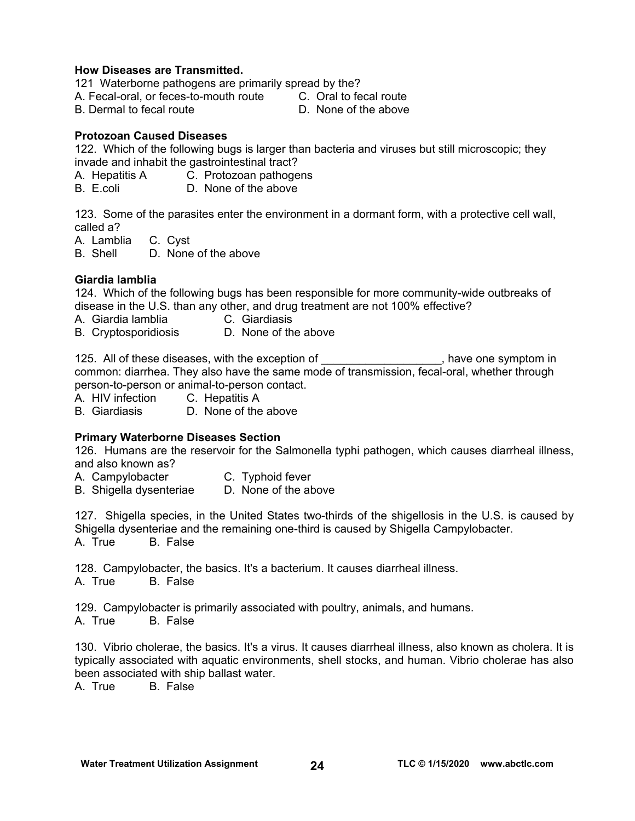### **How Diseases are Transmitted.**

121 Waterborne pathogens are primarily spread by the?

A. Fecal-oral, or feces-to-mouth route C. Oral to fecal route

B. Dermal to fecal route D. None of the above

# **Protozoan Caused Diseases**

122. Which of the following bugs is larger than bacteria and viruses but still microscopic; they invade and inhabit the gastrointestinal tract?

A. Hepatitis A C. Protozoan pathogens

D. None of the above

123. Some of the parasites enter the environment in a dormant form, with a protective cell wall, called a?

A. Lamblia C. Cyst

B. Shell D. None of the above

# **Giardia lamblia**

124. Which of the following bugs has been responsible for more community-wide outbreaks of disease in the U.S. than any other, and drug treatment are not 100% effective?

- A. Giardia lamblia C. Giardiasis
- B. Cryptosporidiosis D. None of the above

125. All of these diseases, with the exception of the state one symptom in common: diarrhea. They also have the same mode of transmission, fecal-oral, whether through person-to-person or animal-to-person contact.

A. HIV infection C. Hepatitis A

B. Giardiasis D. None of the above

# **Primary Waterborne Diseases Section**

126. Humans are the reservoir for the Salmonella typhi pathogen, which causes diarrheal illness, and also known as?

A. Campylobacter **C.** Typhoid fever

B. Shigella dysenteriae D. None of the above

127. Shigella species, in the United States two-thirds of the shigellosis in the U.S. is caused by Shigella dysenteriae and the remaining one-third is caused by Shigella Campylobacter. A. True B. False

128. Campylobacter, the basics. It's a bacterium. It causes diarrheal illness. A. True B. False

129. Campylobacter is primarily associated with poultry, animals, and humans.

A. True B. False

130. Vibrio cholerae, the basics. It's a virus. It causes diarrheal illness, also known as cholera. It is typically associated with aquatic environments, shell stocks, and human. Vibrio cholerae has also been associated with ship ballast water.

A. True B. False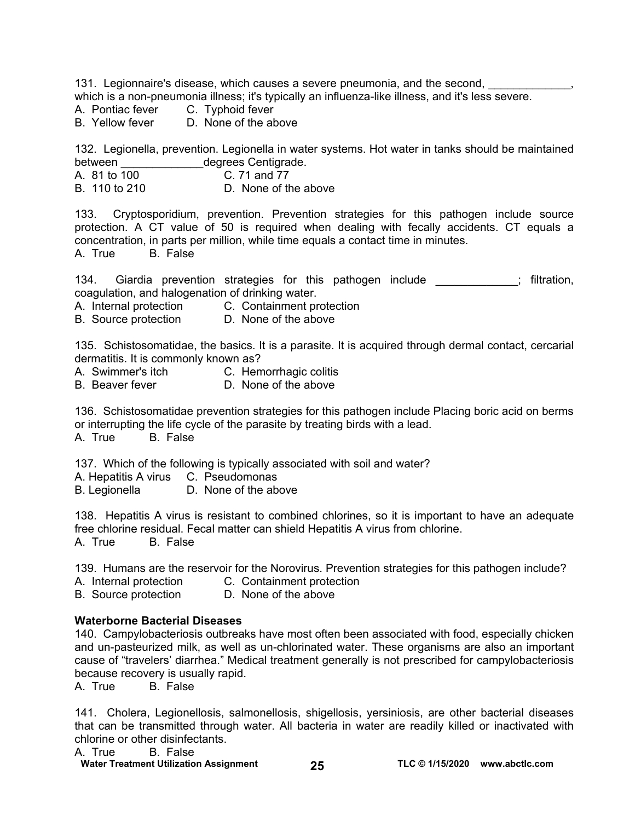131. Legionnaire's disease, which causes a severe pneumonia, and the second, which is a non-pneumonia illness; it's typically an influenza-like illness, and it's less severe.

- A. Pontiac fever C. Typhoid fever
- B. Yellow fever D. None of the above

132. Legionella, prevention. Legionella in water systems. Hot water in tanks should be maintained between degrees Centigrade.

- A. 81 to 100 C. 71 and 77<br>B. 110 to 210 D. None of the
- D. None of the above

133. Cryptosporidium, prevention. Prevention strategies for this pathogen include source protection. A CT value of 50 is required when dealing with fecally accidents. CT equals a concentration, in parts per million, while time equals a contact time in minutes. A. True B. False

134. Giardia prevention strategies for this pathogen include  $\blacksquare$ ; filtration, coagulation, and halogenation of drinking water.

A. Internal protection C. Containment protection

B. Source protection D. None of the above

135. Schistosomatidae, the basics. It is a parasite. It is acquired through dermal contact, cercarial dermatitis. It is commonly known as?

- A. Swimmer's itch C. Hemorrhagic colitis
- B. Beaver fever **D. None of the above**

136. Schistosomatidae prevention strategies for this pathogen include Placing boric acid on berms or interrupting the life cycle of the parasite by treating birds with a lead.

A. True B. False

137. Which of the following is typically associated with soil and water?

A. Hepatitis A virus C. Pseudomonas

B. Legionella D. None of the above

138. Hepatitis A virus is resistant to combined chlorines, so it is important to have an adequate free chlorine residual. Fecal matter can shield Hepatitis A virus from chlorine. A. True B. False

139. Humans are the reservoir for the Norovirus. Prevention strategies for this pathogen include?

- A. Internal protection C. Containment protection
- B. Source protection D. None of the above

### **Waterborne Bacterial Diseases**

140. Campylobacteriosis outbreaks have most often been associated with food, especially chicken and un-pasteurized milk, as well as un-chlorinated water. These organisms are also an important cause of "travelers' diarrhea." Medical treatment generally is not prescribed for campylobacteriosis because recovery is usually rapid.

A. True B. False

141. Cholera, Legionellosis, salmonellosis, shigellosis, yersiniosis, are other bacterial diseases that can be transmitted through water. All bacteria in water are readily killed or inactivated with chlorine or other disinfectants.

A. True B. False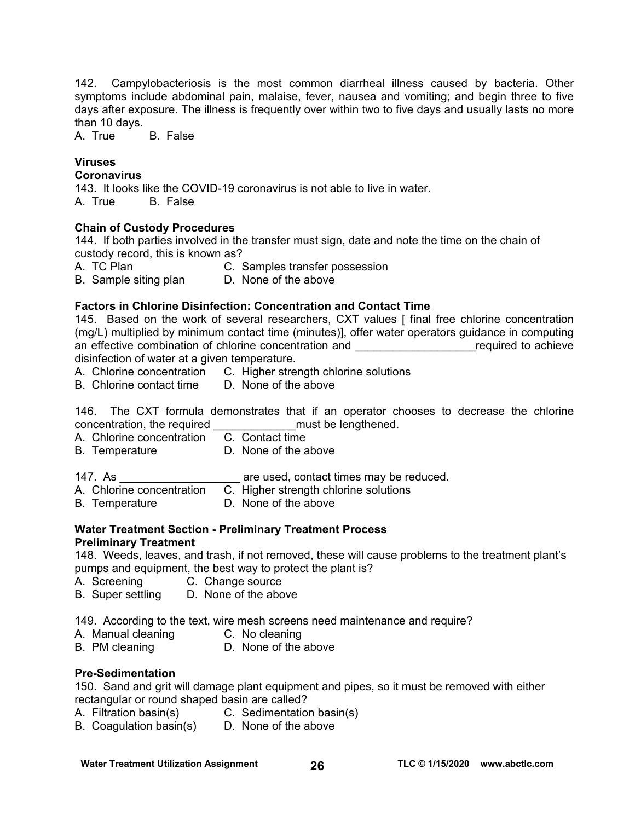142. Campylobacteriosis is the most common diarrheal illness caused by bacteria. Other symptoms include abdominal pain, malaise, fever, nausea and vomiting; and begin three to five days after exposure. The illness is frequently over within two to five days and usually lasts no more than 10 days.

A. True B. False

# **Viruses**

**Coronavirus** 

143. It looks like the COVID-19 coronavirus is not able to live in water. A. True B. False

# **Chain of Custody Procedures**

144. If both parties involved in the transfer must sign, date and note the time on the chain of custody record, this is known as?

A. TC Plan C. Samples transfer possession

B. Sample siting plan D. None of the above

# **Factors in Chlorine Disinfection: Concentration and Contact Time**

145. Based on the work of several researchers, CXT values [final free chlorine concentration (mg/L) multiplied by minimum contact time (minutes)], offer water operators guidance in computing an effective combination of chlorine concentration and **Example 20** achieve

disinfection of water at a given temperature.<br>A. Chlorine concentration C. Higher stre C. Higher strength chlorine solutions<br>D. None of the above

B. Chlorine contact time

146. The CXT formula demonstrates that if an operator chooses to decrease the chlorine concentration, the required \_\_\_\_\_\_\_\_\_\_\_\_\_must be lengthened.

A. Chlorine concentration C. Contact time

- B. Temperature D. None of the above
- 147. As **Example 20** are used, contact times may be reduced.

A. Chlorine concentration C. Higher strength chlorine solutions

B. Temperature D. None of the above

# **Water Treatment Section - Preliminary Treatment Process**

### **Preliminary Treatment**

148. Weeds, leaves, and trash, if not removed, these will cause problems to the treatment plant's pumps and equipment, the best way to protect the plant is?

- A. Screening C. Change source
- B. Super settling D. None of the above

149. According to the text, wire mesh screens need maintenance and require?

- A. Manual cleaning C. No cleaning
- B. PM cleaning D. None of the above

# **Pre-Sedimentation**

150. Sand and grit will damage plant equipment and pipes, so it must be removed with either rectangular or round shaped basin are called?

- A. Filtration basin(s) C. Sedimentation basin(s)
- B. Coagulation basin(s) D. None of the above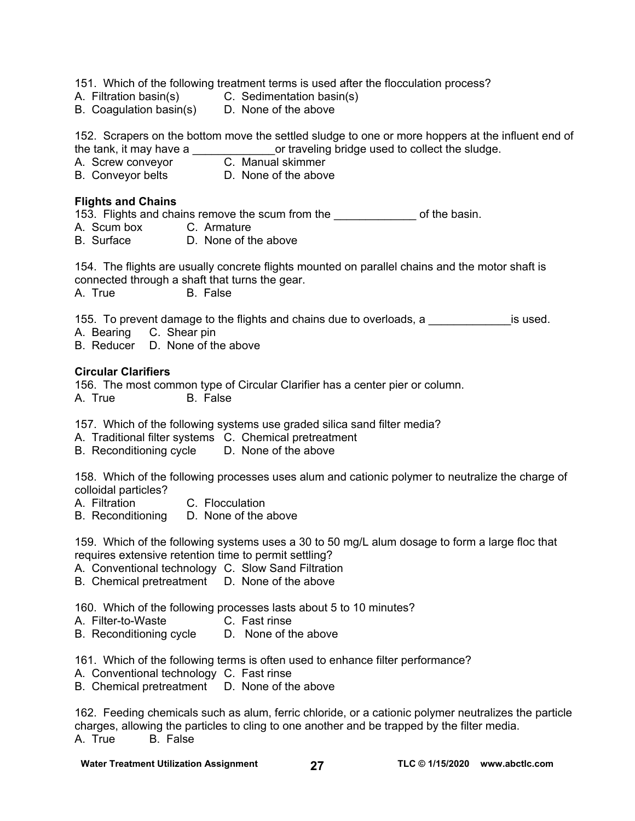151. Which of the following treatment terms is used after the flocculation process?

- A. Filtration basin(s) C. Sedimentation basin(s)
- B. Coagulation basin(s) D. None of the above

152. Scrapers on the bottom move the settled sludge to one or more hoppers at the influent end of the tank, it may have a or traveling bridge used to collect the sludge. or traveling bridge used to collect the sludge.

- A. Screw conveyor **C. Manual skimmer**
- B. Conveyor belts **D.** None of the above

### **Flights and Chains**

153. Flights and chains remove the scum from the **the scumble of the basin.** 

- A. Scum box C. Armature
- B. Surface D. None of the above

154. The flights are usually concrete flights mounted on parallel chains and the motor shaft is connected through a shaft that turns the gear.

A. True B. False

155. To prevent damage to the flights and chains due to overloads, a **paramely is used.** 

- A. Bearing C. Shear pin
- B. Reducer D. None of the above

# **Circular Clarifiers**

156. The most common type of Circular Clarifier has a center pier or column. A. True B. False

157. Which of the following systems use graded silica sand filter media?

- A. Traditional filter systems C. Chemical pretreatment
- B. Reconditioning cycle D. None of the above

158. Which of the following processes uses alum and cationic polymer to neutralize the charge of colloidal particles?

- A. Filtration C. Flocculation
- B. Reconditioning D. None of the above

159. Which of the following systems uses a 30 to 50 mg/L alum dosage to form a large floc that requires extensive retention time to permit settling?

- A. Conventional technology C. Slow Sand Filtration
- B. Chemical pretreatment D. None of the above

160. Which of the following processes lasts about 5 to 10 minutes?

- A. Filter-to-Waste C. Fast rinse
- B. Reconditioning cycle D. None of the above

161. Which of the following terms is often used to enhance filter performance?

- A. Conventional technology C. Fast rinse
- B. Chemical pretreatment D. None of the above

162. Feeding chemicals such as alum, ferric chloride, or a cationic polymer neutralizes the particle charges, allowing the particles to cling to one another and be trapped by the filter media. A. True B. False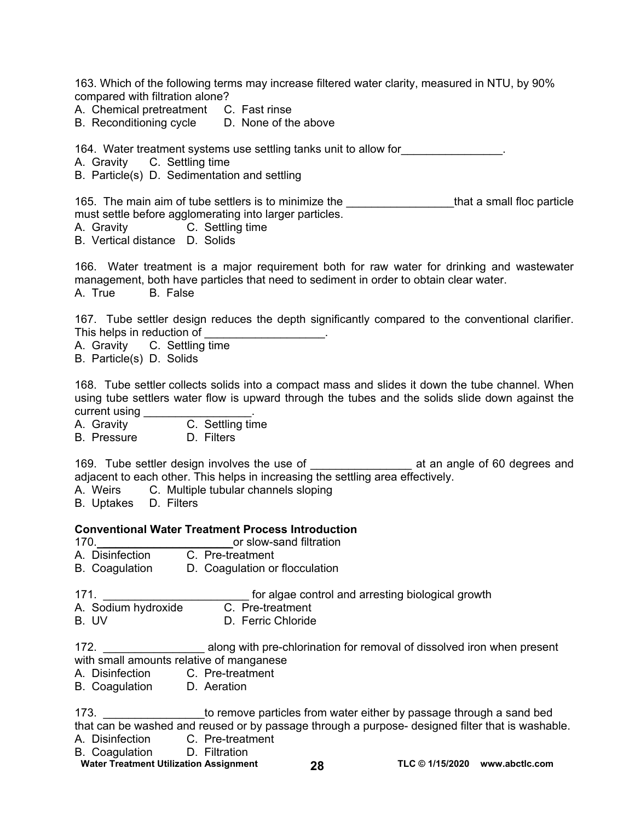163. Which of the following terms may increase filtered water clarity, measured in NTU, by 90% compared with filtration alone?

A. Chemical pretreatment C. Fast rinse

B. Reconditioning cycle D. None of the above

164. Water treatment systems use settling tanks unit to allow for\_\_\_\_\_\_\_\_\_\_\_\_\_\_\_\_.

A. Gravity C. Settling time

B. Particle(s) D. Sedimentation and settling

165. The main aim of tube settlers is to minimize the **constantly and the settler of that a small floc particle** must settle before agglomerating into larger particles.

A. Gravity C. Settling time

B. Vertical distance D. Solids

166. Water treatment is a major requirement both for raw water for drinking and wastewater management, both have particles that need to sediment in order to obtain clear water. A. True B. False

167. Tube settler design reduces the depth significantly compared to the conventional clarifier. This helps in reduction of

A. Gravity C. Settling time

B. Particle(s) D. Solids

168. Tube settler collects solids into a compact mass and slides it down the tube channel. When using tube settlers water flow is upward through the tubes and the solids slide down against the current using \_\_\_\_\_\_\_\_\_\_\_\_\_\_\_\_\_.

A. Gravity **C.** Settling time

B. Pressure D. Filters

169. Tube settler design involves the use of \_\_\_\_\_\_\_\_\_\_\_\_\_\_\_\_ at an angle of 60 degrees and adjacent to each other. This helps in increasing the settling area effectively.

A. Weirs C. Multiple tubular channels sloping

B. Uptakes D. Filters

### **Conventional Water Treatment Process Introduction**

- 170. **170. 170. 170. 170. 170. 170. 170. 11**
- A. Disinfection C. Pre-treatment
- B. Coagulation D. Coagulation or flocculation

171. **171. 171. 171. 18.1 171. 171. 18.1 18.1 18.1 18.1 18.1 18.1 18.1 18.1 18.1 18.1 18.1 18.1 18.1 18.1 18.1 18.1 18.1 18.1 18.1 18.1 18.1 18.1 18.1 18.1 18.1** A. Sodium hydroxide C. Pre-treatment

- B. UV D. Ferric Chloride
- 172. **Example 20 along with pre-chlorination for removal of dissolved iron when present** with small amounts relative of manganese
- A. Disinfection C. Pre-treatment

B. Coagulation D. Aeration

173. **Example 173** to remove particles from water either by passage through a sand bed that can be washed and reused or by passage through a purpose- designed filter that is washable.

- A. Disinfection C. Pre-treatment
- B. Coagulation D. Filtration

**Water Treatment Utilization Assignment 28 TLC © 1/15/2020 [www.abctlc.com](http://www.abctlc.com)**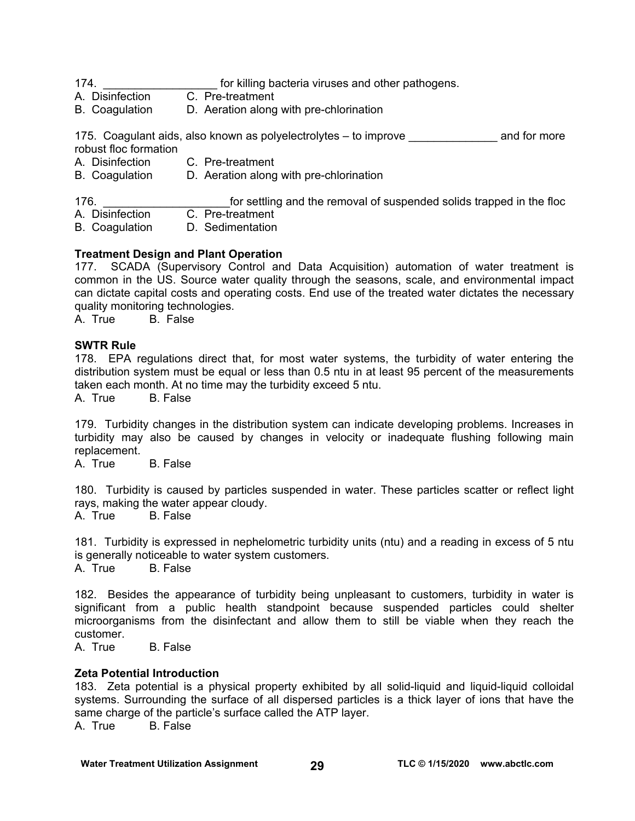174. **Example 12 The Studies of Studies** for killing bacteria viruses and other pathogens.

A. Disinfection C. Pre-treatment

B. Coagulation D. Aeration along with pre-chlorination

175. Coagulant aids, also known as polyelectrolytes – to improve entity and for more robust floc formation

- A. Disinfection C. Pre-treatment
- B. Coagulation D. Aeration along with pre-chlorination

176. **176. 176. 176. 176. 176. 176. 12. 176. 12. 17. 17. 17. 18. 18. 18. 18. 18. 18. 18. 18. 18. 18. 18. 18. 18. 18. 18. 18. 18. 18. 18. 18. 18. 18. 18.**

A. Disinfection C. Pre-treatment

B. Coagulation D. Sedimentation

# **Treatment Design and Plant Operation**

177. SCADA (Supervisory Control and Data Acquisition) automation of water treatment is common in the US. Source water quality through the seasons, scale, and environmental impact can dictate capital costs and operating costs. End use of the treated water dictates the necessary quality monitoring technologies.

A. True B. False

# **SWTR Rule**

178. EPA regulations direct that, for most water systems, the turbidity of water entering the distribution system must be equal or less than 0.5 ntu in at least 95 percent of the measurements taken each month. At no time may the turbidity exceed 5 ntu.

A. True B. False

179. Turbidity changes in the distribution system can indicate developing problems. Increases in turbidity may also be caused by changes in velocity or inadequate flushing following main replacement.

A. True B. False

180. Turbidity is caused by particles suspended in water. These particles scatter or reflect light rays, making the water appear cloudy.

A. True B. False

181. Turbidity is expressed in nephelometric turbidity units (ntu) and a reading in excess of 5 ntu is generally noticeable to water system customers.

A. True B. False

182. Besides the appearance of turbidity being unpleasant to customers, turbidity in water is significant from a public health standpoint because suspended particles could shelter microorganisms from the disinfectant and allow them to still be viable when they reach the customer.

A. True B. False

# **Zeta Potential Introduction**

183. Zeta potential is a physical property exhibited by all solid-liquid and liquid-liquid colloidal systems. Surrounding the surface of all dispersed particles is a thick layer of ions that have the same charge of the particle's surface called the ATP layer.

A. True B. False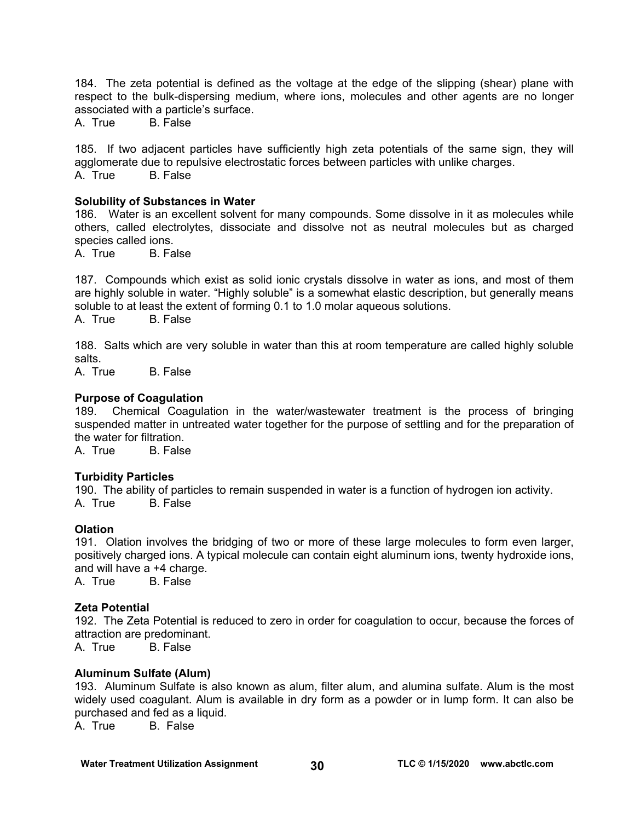184. The zeta potential is defined as the voltage at the edge of the slipping (shear) plane with respect to the bulk-dispersing medium, where ions, molecules and other agents are no longer associated with a particle's surface.

A. True B. False

185. If two adjacent particles have sufficiently high zeta potentials of the same sign, they will agglomerate due to repulsive electrostatic forces between particles with unlike charges. A. True B. False

### **Solubility of Substances in Water**

186. Water is an excellent solvent for many compounds. Some dissolve in it as molecules while others, called electrolytes, dissociate and dissolve not as neutral molecules but as charged species called ions.

A. True B. False

187. Compounds which exist as solid ionic crystals dissolve in water as ions, and most of them are highly soluble in water. "Highly soluble" is a somewhat elastic description, but generally means soluble to at least the extent of forming 0.1 to 1.0 molar aqueous solutions.

A. True B. False

188. Salts which are very soluble in water than this at room temperature are called highly soluble salts.

A. True B. False

#### **Purpose of Coagulation**

189. Chemical Coagulation in the water/wastewater treatment is the process of bringing suspended matter in untreated water together for the purpose of settling and for the preparation of the water for filtration.

A. True B. False

### **Turbidity Particles**

190. The ability of particles to remain suspended in water is a function of hydrogen ion activity. A. True B. False

### **Olation**

191. Olation involves the bridging of two or more of these large molecules to form even larger, positively charged ions. A typical molecule can contain eight aluminum ions, twenty hydroxide ions, and will have  $a + 4$  charge.<br>A True B False

A. True

### **Zeta Potential**

192. The Zeta Potential is reduced to zero in order for coagulation to occur, because the forces of attraction are predominant.

A. True B. False

### **Aluminum Sulfate (Alum)**

193. Aluminum Sulfate is also known as alum, filter alum, and alumina sulfate. Alum is the most widely used coagulant. Alum is available in dry form as a powder or in lump form. It can also be purchased and fed as a liquid.

A. True B. False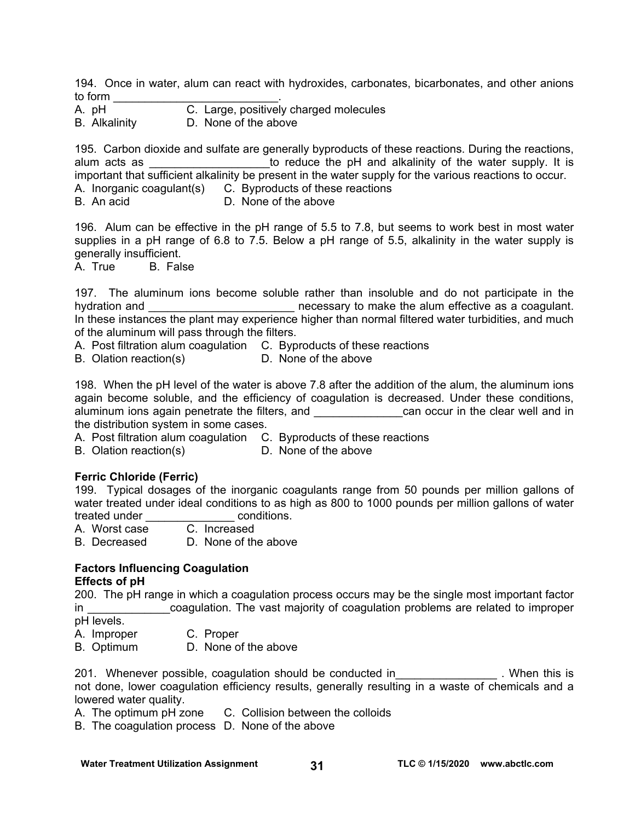194. Once in water, alum can react with hydroxides, carbonates, bicarbonates, and other anions to form \_\_\_\_\_\_\_\_\_\_\_\_\_\_\_\_\_\_\_\_\_\_\_\_\_\_.

- A. pH C. Large, positively charged molecules
- B. Alkalinity D. None of the above

195. Carbon dioxide and sulfate are generally byproducts of these reactions. During the reactions, alum acts as \_\_\_\_\_\_\_\_\_\_\_\_\_\_\_\_\_\_\_\_\_to reduce the pH and alkalinity of the water supply. It is important that sufficient alkalinity be present in the water supply for the various reactions to occur.

A. Inorganic coagulant(s) C. Byproducts of these reactions

B. An acid D. None of the above

196. Alum can be effective in the pH range of 5.5 to 7.8, but seems to work best in most water supplies in a pH range of 6.8 to 7.5. Below a pH range of 5.5, alkalinity in the water supply is generally insufficient.

A. True B. False

197. The aluminum ions become soluble rather than insoluble and do not participate in the hydration and \_\_\_\_\_\_\_\_\_\_\_\_\_\_\_\_\_\_\_\_\_\_\_\_\_\_\_ necessary to make the alum effective as a coagulant. In these instances the plant may experience higher than normal filtered water turbidities, and much of the aluminum will pass through the filters.

A. Post filtration alum coagulation C. Byproducts of these reactions

B. Olation reaction(s) D. None of the above

198. When the pH level of the water is above 7.8 after the addition of the alum, the aluminum ions again become soluble, and the efficiency of coagulation is decreased. Under these conditions, aluminum ions again penetrate the filters, and **Example 20** can occur in the clear well and in the distribution system in some cases.

A. Post filtration alum coagulation C. Byproducts of these reactions

B. Olation reaction(s) D. None of the above

# **Ferric Chloride (Ferric)**

199. Typical dosages of the inorganic coagulants range from 50 pounds per million gallons of water treated under ideal conditions to as high as 800 to 1000 pounds per million gallons of water treated under example and treated under the set of the conditions.

A. Worst case C. Increased

B. Decreased D. None of the above

# **Factors Influencing Coagulation Effects of pH**

200. The pH range in which a coagulation process occurs may be the single most important factor in **the coagulation.** The vast majority of coagulation problems are related to improper pH levels.

A. Improper C. Proper

B. Optimum D. None of the above

201. Whenever possible, coagulation should be conducted in Theorem 201. When this is not done, lower coagulation efficiency results, generally resulting in a waste of chemicals and a lowered water quality.

- A. The optimum pH zone C. Collision between the colloids
- B. The coagulation process D. None of the above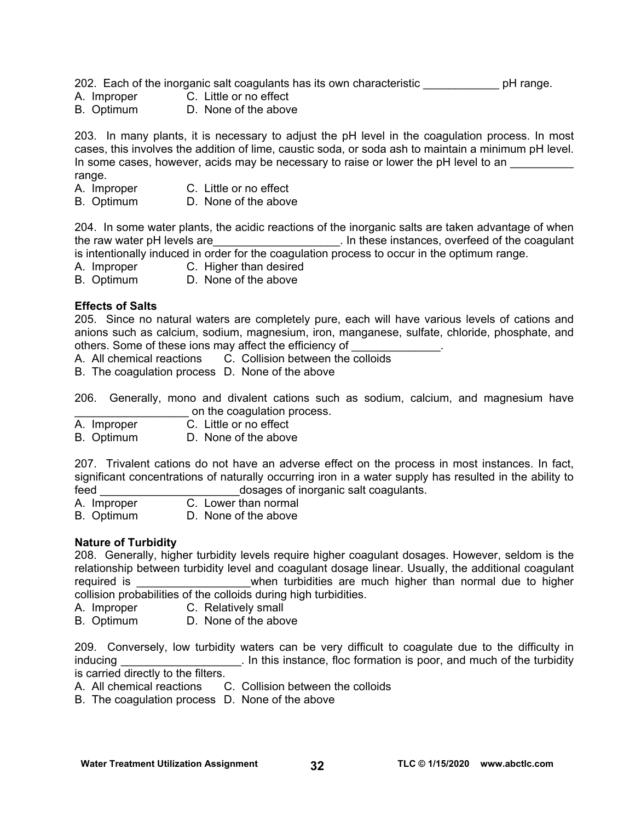202. Each of the inorganic salt coagulants has its own characteristic **phenomic pH** range.

- A. Improper C. Little or no effect
- B. Optimum D. None of the above

203. In many plants, it is necessary to adjust the pH level in the coagulation process. In most cases, this involves the addition of lime, caustic soda, or soda ash to maintain a minimum pH level. In some cases, however, acids may be necessary to raise or lower the pH level to an range.

- A. Improper C. Little or no effect
- B. Optimum D. None of the above

204. In some water plants, the acidic reactions of the inorganic salts are taken advantage of when the raw water pH levels are the raw water pH levels are the coagulant of the coagulant is intentionally induced in order for the coagulation process to occur in the optimum range.

A. Improper C. Higher than desired

B. Optimum D. None of the above

### **Effects of Salts**

205. Since no natural waters are completely pure, each will have various levels of cations and anions such as calcium, sodium, magnesium, iron, manganese, sulfate, chloride, phosphate, and others. Some of these ions may affect the efficiency of

A. All chemical reactions C. Collision between the colloids

B. The coagulation process D. None of the above

206. Generally, mono and divalent cations such as sodium, calcium, and magnesium have on the coagulation process.

A. Improper C. Little or no effect

B. Optimum D. None of the above

207. Trivalent cations do not have an adverse effect on the process in most instances. In fact, significant concentrations of naturally occurring iron in a water supply has resulted in the ability to feed **the contract of inorganic salt coagulants.** 

A. Improper C. Lower than normal

B. Optimum D. None of the above

# **Nature of Turbidity**

208. Generally, higher turbidity levels require higher coagulant dosages. However, seldom is the relationship between turbidity level and coagulant dosage linear. Usually, the additional coagulant required is **the contract of the state of the much higher than normal due to higher than normal due to higher** collision probabilities of the colloids during high turbidities.

A. Improper C. Relatively small

B. Optimum D. None of the above

209. Conversely, low turbidity waters can be very difficult to coagulate due to the difficulty in inducing **Example 20** in this instance, floc formation is poor, and much of the turbidity is carried directly to the filters.

A. All chemical reactions C. Collision between the colloids

B. The coagulation process D. None of the above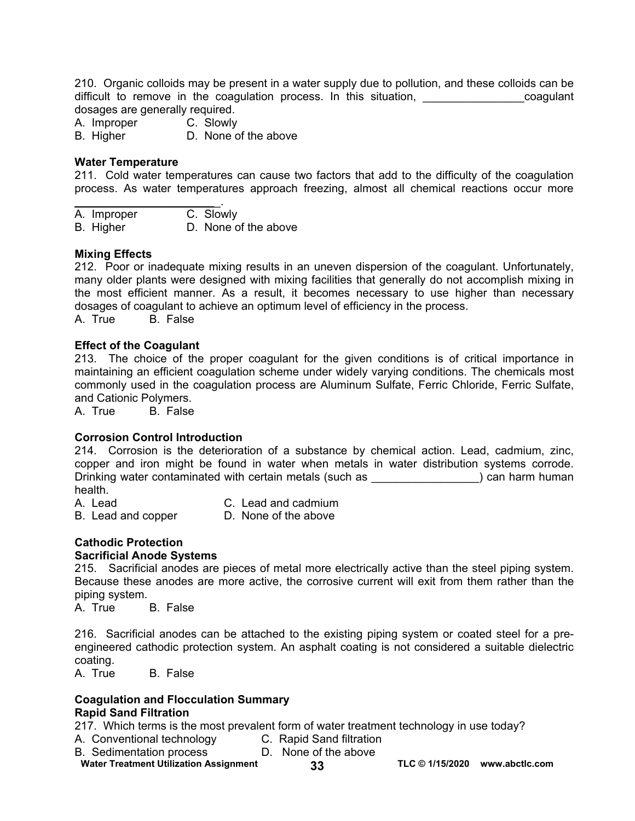210. Organic colloids may be present in a water supply due to pollution, and these colloids can be difficult to remove in the coagulation process. In this situation, the state of coagulant dosages are generally required.

A. Improper C. Slowly

B. Higher D. None of the above

### **Water Temperature**

211. Cold water temperatures can cause two factors that add to the difficulty of the coagulation process. As water temperatures approach freezing, almost all chemical reactions occur more

 $\mathcal{L}_\text{max}$  , where  $\mathcal{L}_\text{max}$  and  $\mathcal{L}_\text{max}$ A. Improper C. Slowly B. Higher D. None of the above

#### **Mixing Effects**

212. Poor or inadequate mixing results in an uneven dispersion of the coagulant. Unfortunately, many older plants were designed with mixing facilities that generally do not accomplish mixing in the most efficient manner. As a result, it becomes necessary to use higher than necessary dosages of coagulant to achieve an optimum level of efficiency in the process. A. True B. False

#### **Effect of the Coagulant**

213. The choice of the proper coagulant for the given conditions is of critical importance in maintaining an efficient coagulation scheme under widely varying conditions. The chemicals most commonly used in the coagulation process are Aluminum Sulfate, Ferric Chloride, Ferric Sulfate, and Cationic Polymers.

A. True B. False

### **Corrosion Control Introduction**

214. Corrosion is the deterioration of a substance by chemical action. Lead, cadmium, zinc, copper and iron might be found in water when metals in water distribution systems corrode. Drinking water contaminated with certain metals (such as  $\qquad$ ) can harm human health.

A. Lead C. Lead and cadmium

B. Lead and copper D. None of the above

# **Cathodic Protection**

### **Sacrificial Anode Systems**

215. Sacrificial anodes are pieces of metal more electrically active than the steel piping system. Because these anodes are more active, the corrosive current will exit from them rather than the piping system.

A. True B. False

216. Sacrificial anodes can be attached to the existing piping system or coated steel for a preengineered cathodic protection system. An asphalt coating is not considered a suitable dielectric coating.

A. True B. False

#### **Coagulation and Flocculation Summary Rapid Sand Filtration**

217. Which terms is the most prevalent form of water treatment technology in use today?

- A. Conventional technology C. Rapid Sand filtration
- B. Sedimentation process D. None of the above

**Water Treatment Utilization Assignment 33 TLC © 1/15/2020 [www.abctlc.com](http://www.abctlc.com)**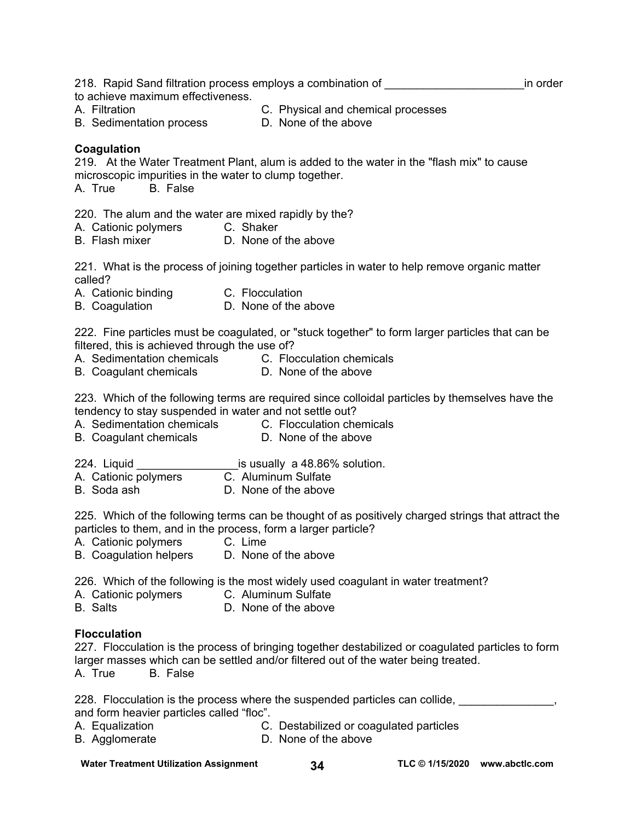| 218. Rapid Sand filtration process employs a combination of | in order |
|-------------------------------------------------------------|----------|
| to achieve maximum effectiveness.                           |          |

- 
- A. Filtration C. Physical and chemical processes
- 
- B. Sedimentation process D. None of the above

# **Coagulation**

219. At the Water Treatment Plant, alum is added to the water in the "flash mix" to cause microscopic impurities in the water to clump together.

A. True B. False

220. The alum and the water are mixed rapidly by the?

- A. Cationic polymers C. Shaker
- B. Flash mixer **D.** None of the above

221. What is the process of joining together particles in water to help remove organic matter called?

- A. Cationic binding C. Flocculation
- B. Coagulation D. None of the above

222. Fine particles must be coagulated, or "stuck together" to form larger particles that can be filtered, this is achieved through the use of?

- A. Sedimentation chemicals C. Flocculation chemicals<br>B. Coaquiant chemicals D. None of the above
- B. Coagulant chemicals

223. Which of the following terms are required since colloidal particles by themselves have the tendency to stay suspended in water and not settle out?

- A. Sedimentation chemicals C. Flocculation chemicals
- B. Coagulant chemicals **D.** None of the above
- 224. Liquid  $\frac{1}{2}$  is usually a 48.86% solution.<br>A. Cationic polymers  $\frac{1}{2}$  C. Aluminum Sulfate
- A. Cationic polymers
- B. Soda ash D. None of the above

225. Which of the following terms can be thought of as positively charged strings that attract the particles to them, and in the process, form a larger particle?

- A. Cationic polymers C. Lime
- B. Coagulation helpers D. None of the above

226. Which of the following is the most widely used coagulant in water treatment?

A. Cationic polymers C. Aluminum Sulfate

B. Salts D. None of the above

# **Flocculation**

227. Flocculation is the process of bringing together destabilized or coagulated particles to form larger masses which can be settled and/or filtered out of the water being treated.<br>A. True B. False

B. False

| 228. Flocculation is the process where the suspended particles can collide, |  |
|-----------------------------------------------------------------------------|--|
| and form heavier particles called "floc".                                   |  |

- A. Equalization C. Destabilized or coagulated particles
- B. Agglomerate D. None of the above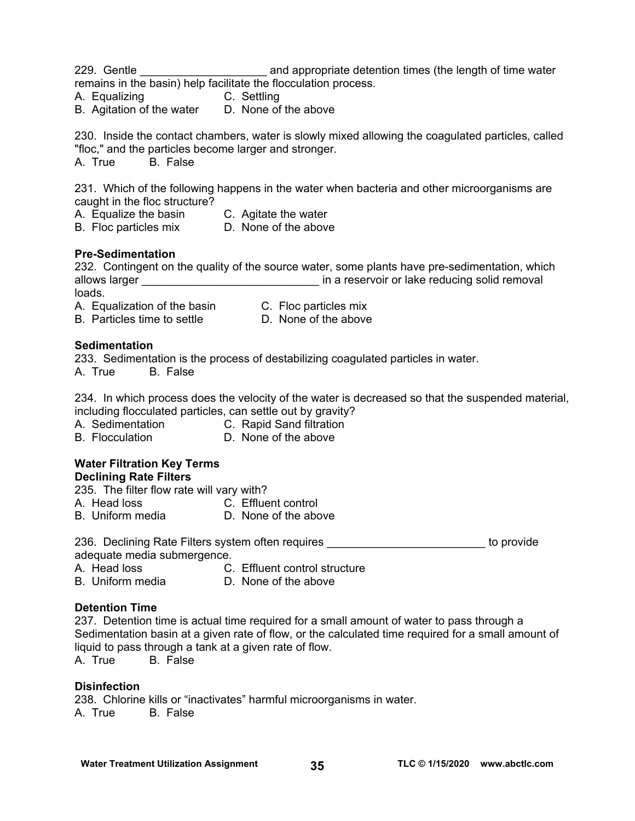229. Gentle \_\_\_\_\_\_\_\_\_\_\_\_\_\_\_\_\_\_\_\_\_\_\_\_\_\_\_\_\_\_\_\_ and appropriate detention times (the length of time water remains in the basin) help facilitate the flocculation process.

- A. Equalizing C. Settling
- B. Agitation of the water D. None of the above

230. Inside the contact chambers, water is slowly mixed allowing the coagulated particles, called "floc," and the particles become larger and stronger. A. True B. False

231. Which of the following happens in the water when bacteria and other microorganisms are caught in the floc structure?

- A. Equalize the basin C. Agitate the water
- B. Floc particles mix D. None of the above

# **Pre-Sedimentation**

232. Contingent on the quality of the source water, some plants have pre-sedimentation, which allows larger **allows** larger  $\qquad \qquad$  in a reservoir or lake reducing solid removal loads.

- A. Equalization of the basin C. Floc particles mix
- B. Particles time to settle D. None of the above
- **Sedimentation**

233. Sedimentation is the process of destabilizing coagulated particles in water. A. True B. False

234. In which process does the velocity of the water is decreased so that the suspended material, including flocculated particles, can settle out by gravity?

- A. Sedimentation C. Rapid Sand filtration
- B. Flocculation D. None of the above

# **Water Filtration Key Terms**

**Declining Rate Filters** 

235. The filter flow rate will vary with?

- A. Head loss C. Effluent control
- B. Uniform media **D. None of the above**

236. Declining Rate Filters system often requires **the entity of the contract of provide** adequate media submergence.

- 
- A. Head loss C. Effluent control structure<br>B. Uniform media B. None of the above D. None of the above

### **Detention Time**

237. Detention time is actual time required for a small amount of water to pass through a Sedimentation basin at a given rate of flow, or the calculated time required for a small amount of liquid to pass through a tank at a given rate of flow.

A. True B. False

### **Disinfection**

238. Chlorine kills or "inactivates" harmful microorganisms in water. A. True B. False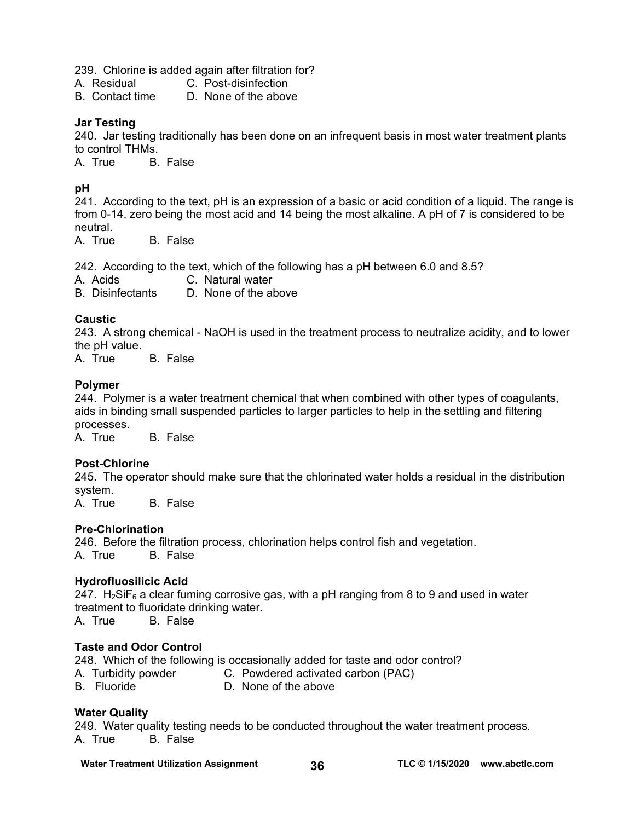239. Chlorine is added again after filtration for?

A. Residual C. Post-disinfection

B. Contact time D. None of the above

# **Jar Testing**

240. Jar testing traditionally has been done on an infrequent basis in most water treatment plants to control THMs.

A. True B. False

# **pH**

241. According to the text, pH is an expression of a basic or acid condition of a liquid. The range is from 0-14, zero being the most acid and 14 being the most alkaline. A pH of 7 is considered to be neutral.

A. True B. False

242. According to the text, which of the following has a pH between 6.0 and 8.5?

A. Acids C. Natural water

B. Disinfectants D. None of the above

# **Caustic**

243. A strong chemical - NaOH is used in the treatment process to neutralize acidity, and to lower the pH value.<br>A. True

**B.** False

# **Polymer**

244. Polymer is a water treatment chemical that when combined with other types of coagulants, aids in binding small suspended particles to larger particles to help in the settling and filtering processes.

A. True B. False

# **Post-Chlorine**

245. The operator should make sure that the chlorinated water holds a residual in the distribution system.

A. True B. False

# **Pre-Chlorination**

246. Before the filtration process, chlorination helps control fish and vegetation. A. True B. False

# **Hydrofluosilicic Acid**

247.  $H_2$ SiF<sub>6</sub> a clear fuming corrosive gas, with a pH ranging from 8 to 9 and used in water treatment to fluoridate drinking water.

A. True B. False

# **Taste and Odor Control**

248. Which of the following is occasionally added for taste and odor control?

- A. Turbidity powder **C. Powdered activated carbon (PAC)**
- B. Fluoride D. None of the above

# **Water Quality**

249. Water quality testing needs to be conducted throughout the water treatment process. A. True B. False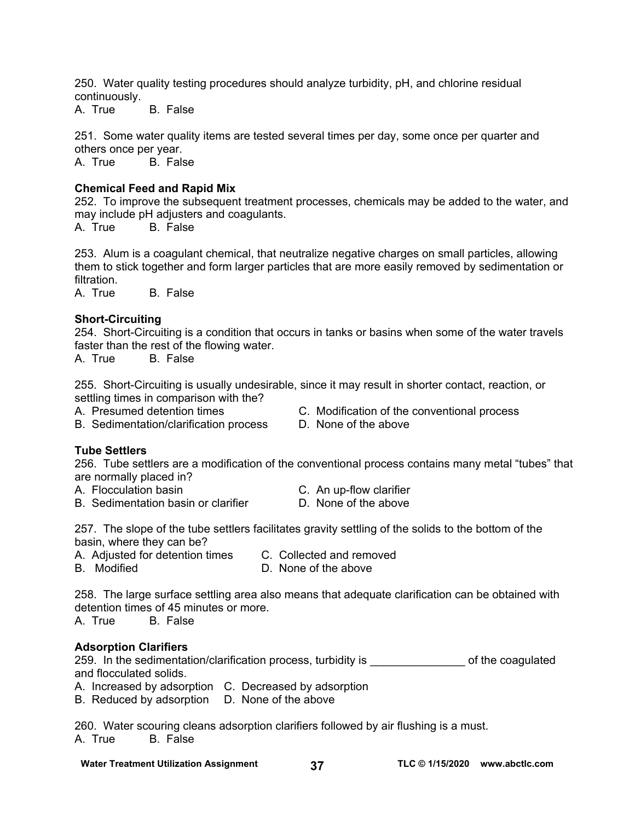250. Water quality testing procedures should analyze turbidity, pH, and chlorine residual continuously.

A. True B. False

251. Some water quality items are tested several times per day, some once per quarter and others once per year. A. True B. False

### **Chemical Feed and Rapid Mix**

252. To improve the subsequent treatment processes, chemicals may be added to the water, and may include pH adjusters and coagulants.

A. True B. False

253. Alum is a coagulant chemical, that neutralize negative charges on small particles, allowing them to stick together and form larger particles that are more easily removed by sedimentation or filtration.

A. True B. False

### **Short-Circuiting**

254. Short-Circuiting is a condition that occurs in tanks or basins when some of the water travels faster than the rest of the flowing water.

A. True B. False

255. Short-Circuiting is usually undesirable, since it may result in shorter contact, reaction, or settling times in comparison with the?

B. Sedimentation/clarification process D. None of the above

- A. Presumed detention times C. Modification of the conventional process
	-

### **Tube Settlers**

256. Tube settlers are a modification of the conventional process contains many metal "tubes" that are normally placed in?

- A. Flocculation basin C. An up-flow clarifier
- B. Sedimentation basin or clarifier **D.** None of the above
- -

257. The slope of the tube settlers facilitates gravity settling of the solids to the bottom of the basin, where they can be?

- A. Adjusted for detention times C. Collected and removed
- B. Modified **D. None of the above** 
	-

258. The large surface settling area also means that adequate clarification can be obtained with detention times of 45 minutes or more.

A. True B. False

### **Adsorption Clarifiers**

259. In the sedimentation/clarification process, turbidity is example of the coagulated and flocculated solids.

A. Increased by adsorption C. Decreased by adsorption

B. Reduced by adsorption D. None of the above

260. Water scouring cleans adsorption clarifiers followed by air flushing is a must. A. True B. False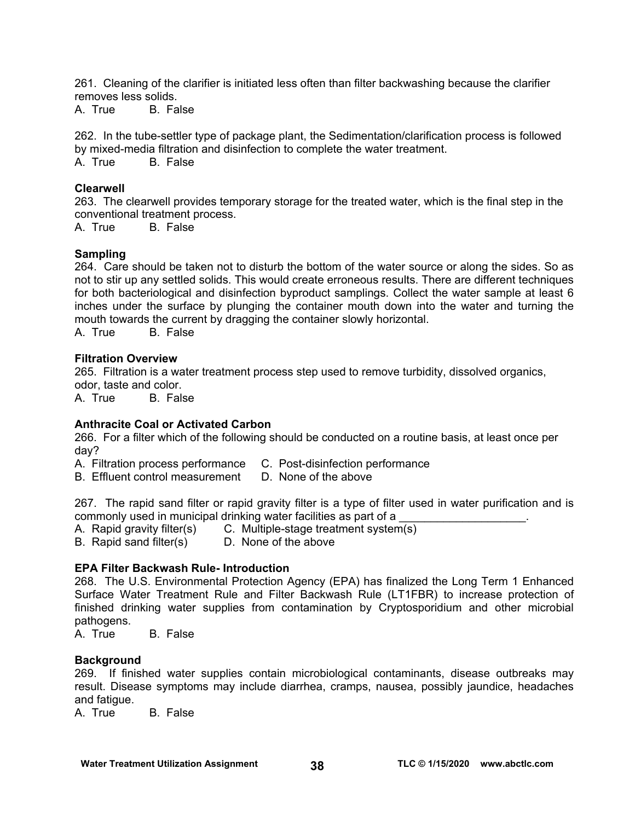261. Cleaning of the clarifier is initiated less often than filter backwashing because the clarifier removes less solids.

A. True B. False

262. In the tube-settler type of package plant, the Sedimentation/clarification process is followed by mixed-media filtration and disinfection to complete the water treatment. A. True B. False

# **Clearwell**

263. The clearwell provides temporary storage for the treated water, which is the final step in the conventional treatment process.

A. True B. False

### **Sampling**

264. Care should be taken not to disturb the bottom of the water source or along the sides. So as not to stir up any settled solids. This would create erroneous results. There are different techniques for both bacteriological and disinfection byproduct samplings. Collect the water sample at least 6 inches under the surface by plunging the container mouth down into the water and turning the mouth towards the current by dragging the container slowly horizontal.

A. True B. False

### **Filtration Overview**

265. Filtration is a water treatment process step used to remove turbidity, dissolved organics, odor, taste and color.

A. True B. False

# **Anthracite Coal or Activated Carbon**

266. For a filter which of the following should be conducted on a routine basis, at least once per day?

A. Filtration process performance C. Post-disinfection performance

B. Effluent control measurement D. None of the above

267. The rapid sand filter or rapid gravity filter is a type of filter used in water purification and is commonly used in municipal drinking water facilities as part of a

A. Rapid gravity filter(s) C. Multiple-stage treatment system(s)

B. Rapid sand filter(s) D. None of the above

### **EPA Filter Backwash Rule- Introduction**

268. The U.S. Environmental Protection Agency (EPA) has finalized the Long Term 1 Enhanced Surface Water Treatment Rule and Filter Backwash Rule (LT1FBR) to increase protection of finished drinking water supplies from contamination by Cryptosporidium and other microbial pathogens.

A. True B. False

### **Background**

269. If finished water supplies contain microbiological contaminants, disease outbreaks may result. Disease symptoms may include diarrhea, cramps, nausea, possibly jaundice, headaches and fatigue.

A. True B. False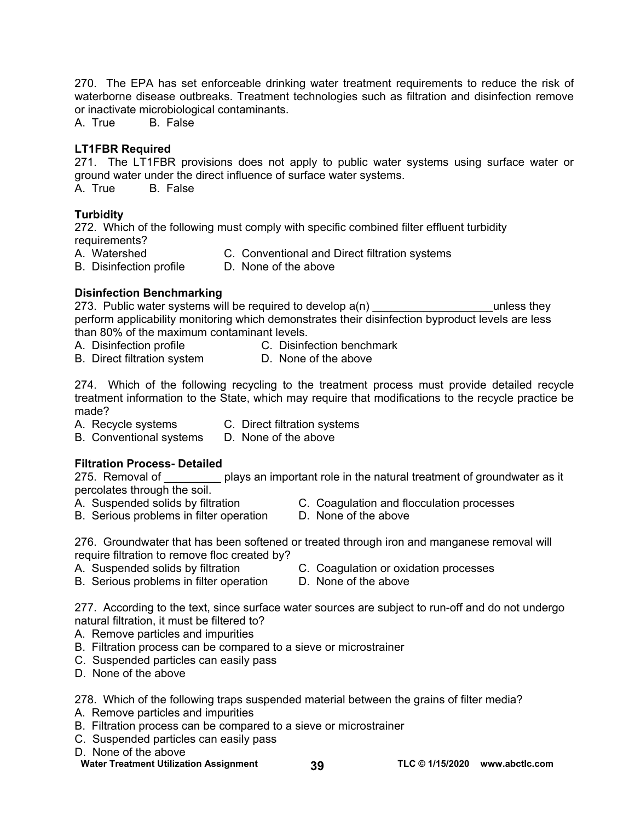270. The EPA has set enforceable drinking water treatment requirements to reduce the risk of waterborne disease outbreaks. Treatment technologies such as filtration and disinfection remove or inactivate microbiological contaminants.

A. True B. False

# **LT1FBR Required**

271. The LT1FBR provisions does not apply to public water systems using surface water or ground water under the direct influence of surface water systems.<br>A. True B. False

**B.** False

# **Turbidity**

272. Which of the following must comply with specific combined filter effluent turbidity requirements?

A. Watershed C. Conventional and Direct filtration systems

B. Disinfection profile D. None of the above

# **Disinfection Benchmarking**

273. Public water systems will be required to develop  $a(n)$  \_\_\_\_\_\_\_\_\_\_\_\_\_\_\_\_\_\_\_\_\_\_unless they perform applicability monitoring which demonstrates their disinfection byproduct levels are less than 80% of the maximum contaminant levels.

- A. Disinfection profile C. Disinfection benchmark
- B. Direct filtration system D. None of the above

274. Which of the following recycling to the treatment process must provide detailed recycle treatment information to the State, which may require that modifications to the recycle practice be made?

A. Recycle systems C. Direct filtration systems

B. Conventional systems D. None of the above

# **Filtration Process- Detailed**

275. Removal of plays an important role in the natural treatment of groundwater as it percolates through the soil.

- 
- A. Suspended solids by filtration C. Coagulation and flocculation processes<br>B. Serious problems in filter operation D. None of the above B. Serious problems in filter operation
	-
	-

276. Groundwater that has been softened or treated through iron and manganese removal will require filtration to remove floc created by?<br>A. Suspended solids by filtration

- 
- C. Coagulation or oxidation processes<br>D. None of the above
- B. Serious problems in filter operation

277. According to the text, since surface water sources are subject to run-off and do not undergo natural filtration, it must be filtered to?

- A. Remove particles and impurities
- B. Filtration process can be compared to a sieve or microstrainer
- C. Suspended particles can easily pass
- D. None of the above

278. Which of the following traps suspended material between the grains of filter media?

- A. Remove particles and impurities
- B. Filtration process can be compared to a sieve or microstrainer
- C. Suspended particles can easily pass
- D. None of the above

**Water Treatment Utilization Assignment 39 TLC © 1/15/2020 [www.abctlc.com](http://www.abctlc.com)**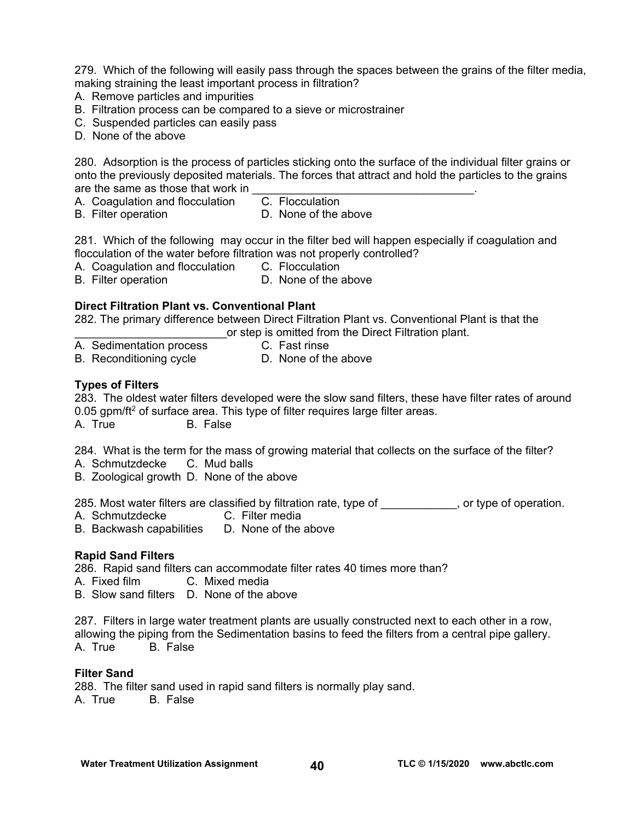279. Which of the following will easily pass through the spaces between the grains of the filter media, making straining the least important process in filtration?

- A. Remove particles and impurities
- B. Filtration process can be compared to a sieve or microstrainer
- C. Suspended particles can easily pass
- D. None of the above

280. Adsorption is the process of particles sticking onto the surface of the individual filter grains or onto the previously deposited materials. The forces that attract and hold the particles to the grains are the same as those that work in

A. Coagulation and flocculation C. Flocculation

- 
- B. Filter operation **D.** None of the above

281. Which of the following may occur in the filter bed will happen especially if coagulation and flocculation of the water before filtration was not properly controlled?

A. Coagulation and flocculation C. Flocculation

B. Filter operation **D.** None of the above

# **Direct Filtration Plant vs. Conventional Plant**

282. The primary difference between Direct Filtration Plant vs. Conventional Plant is that the \_\_\_\_\_\_\_\_\_\_\_\_\_\_\_\_\_\_\_\_\_\_\_\_or step is omitted from the Direct Filtration plant.

- A. Sedimentation process C. Fast rinse
	-
- B. Reconditioning cycle D. None of the above

# **Types of Filters**

283. The oldest water filters developed were the slow sand filters, these have filter rates of around 0.05 gpm/ft<sup>2</sup> of surface area. This type of filter requires large filter areas.

A. True B. False

284. What is the term for the mass of growing material that collects on the surface of the filter?<br>A. Schmutzdecke C. Mud balls

- A. Schmutzdecke
- B. Zoological growth D. None of the above

285. Most water filters are classified by filtration rate, type of we may be type of operation.

- A. Schmutzdecke C. Filter media
- B. Backwash capabilities D. None of the above

# **Rapid Sand Filters**

286. Rapid sand filters can accommodate filter rates 40 times more than?

A. Fixed film C. Mixed media

B. Slow sand filters D. None of the above

287. Filters in large water treatment plants are usually constructed next to each other in a row, allowing the piping from the Sedimentation basins to feed the filters from a central pipe gallery. A. True B. False

### **Filter Sand**

288. The filter sand used in rapid sand filters is normally play sand. A. True B. False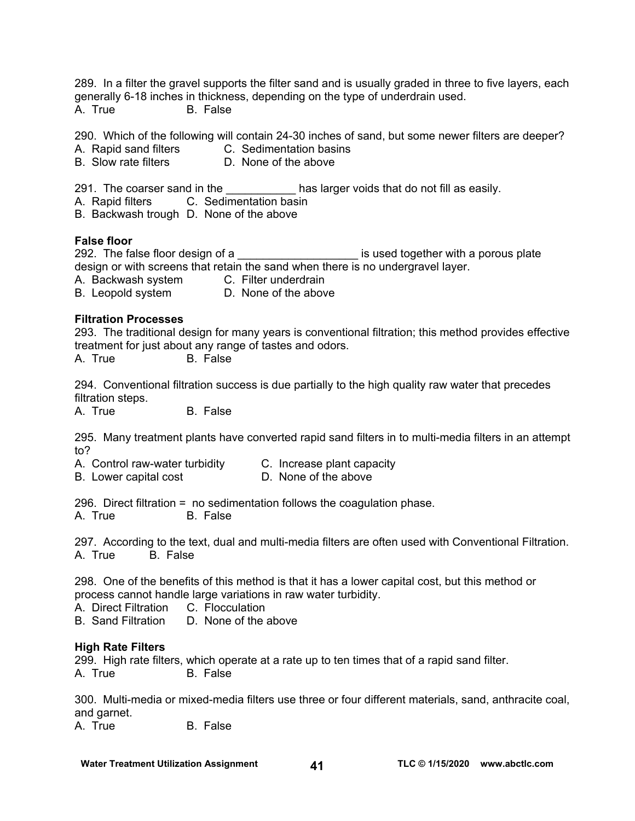289. In a filter the gravel supports the filter sand and is usually graded in three to five layers, each generally 6-18 inches in thickness, depending on the type of underdrain used. A. True B. False

290. Which of the following will contain 24-30 inches of sand, but some newer filters are deeper?

- A. Rapid sand filters C. Sedimentation basins
- B. Slow rate filters D. None of the above

291. The coarser sand in the the the state is a larger voids that do not fill as easily.

A. Rapid filters C. Sedimentation basin

B. Backwash trough D. None of the above

### **False floor**

292. The false floor design of a \_\_\_\_\_\_\_\_\_\_\_\_\_\_\_\_\_\_\_\_\_\_\_\_ is used together with a porous plate design or with screens that retain the sand when there is no undergravel layer.

A. Backwash system C. Filter underdrain

B. Leopold system D. None of the above

# **Filtration Processes**

293. The traditional design for many years is conventional filtration; this method provides effective treatment for just about any range of tastes and odors.

A. True B. False

294. Conventional filtration success is due partially to the high quality raw water that precedes filtration steps.

A. True B. False

295. Many treatment plants have converted rapid sand filters in to multi-media filters in an attempt to?

- A. Control raw-water turbidity C. Increase plant capacity
- B. Lower capital cost **D.** None of the above

296. Direct filtration = no sedimentation follows the coagulation phase.

A. True B. False

297. According to the text, dual and multi-media filters are often used with Conventional Filtration. A. True B. False

298. One of the benefits of this method is that it has a lower capital cost, but this method or process cannot handle large variations in raw water turbidity.

A. Direct Filtration C. Flocculation

B. Sand Filtration D. None of the above

### **High Rate Filters**

299. High rate filters, which operate at a rate up to ten times that of a rapid sand filter. A. True B. False

300. Multi-media or mixed-media filters use three or four different materials, sand, anthracite coal, and garnet.

A. True B. False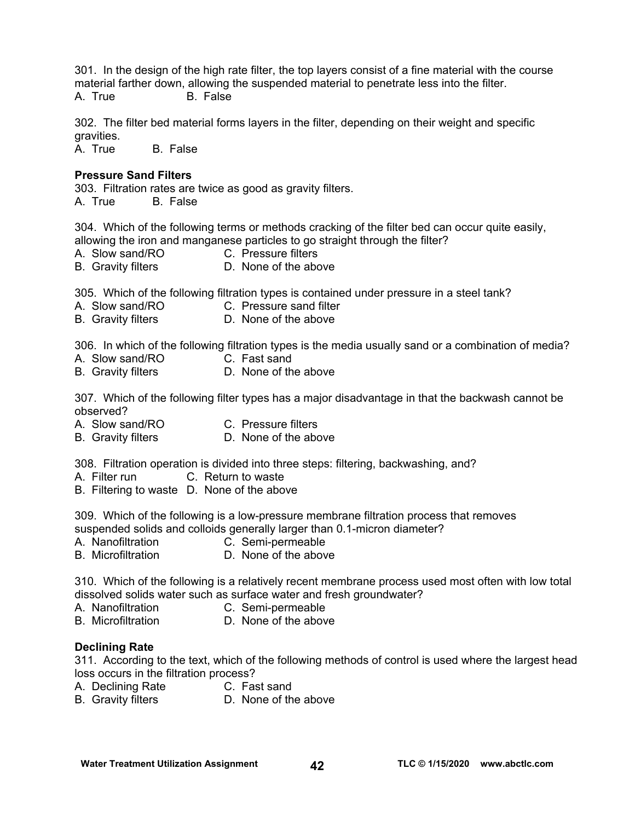301. In the design of the high rate filter, the top layers consist of a fine material with the course material farther down, allowing the suspended material to penetrate less into the filter. A. True B. False

302. The filter bed material forms layers in the filter, depending on their weight and specific gravities.

A. True B. False

### **Pressure Sand Filters**

303. Filtration rates are twice as good as gravity filters. A. True B. False

304. Which of the following terms or methods cracking of the filter bed can occur quite easily, allowing the iron and manganese particles to go straight through the filter?

- A. Slow sand/RO C. Pressure filters
- B. Gravity filters **D. None of the above**

305. Which of the following filtration types is contained under pressure in a steel tank?

- A. Slow sand/RO C. Pressure sand filter
- B. Gravity filters **D. None of the above**

306. In which of the following filtration types is the media usually sand or a combination of media?

- A. Slow sand/RO C. Fast sand
- B. Gravity filters **D. None of the above**

307. Which of the following filter types has a major disadvantage in that the backwash cannot be observed?

- A. Slow sand/RO C. Pressure filters
- B. Gravity filters D. None of the above

308. Filtration operation is divided into three steps: filtering, backwashing, and?

- A. Filter run C. Return to waste
- B. Filtering to waste D. None of the above

309. Which of the following is a low-pressure membrane filtration process that removes suspended solids and colloids generally larger than 0.1-micron diameter?

- A. Nanofiltration C. Semi-permeable
- B. Microfiltration **D. None of the above**

310. Which of the following is a relatively recent membrane process used most often with low total dissolved solids water such as surface water and fresh groundwater?

- A. Nanofiltration C. Semi-permeable
- B. Microfiltration **D.** None of the above

### **Declining Rate**

311. According to the text, which of the following methods of control is used where the largest head loss occurs in the filtration process?

- A. Declining Rate C. Fast sand
- B. Gravity filters **D. None of the above**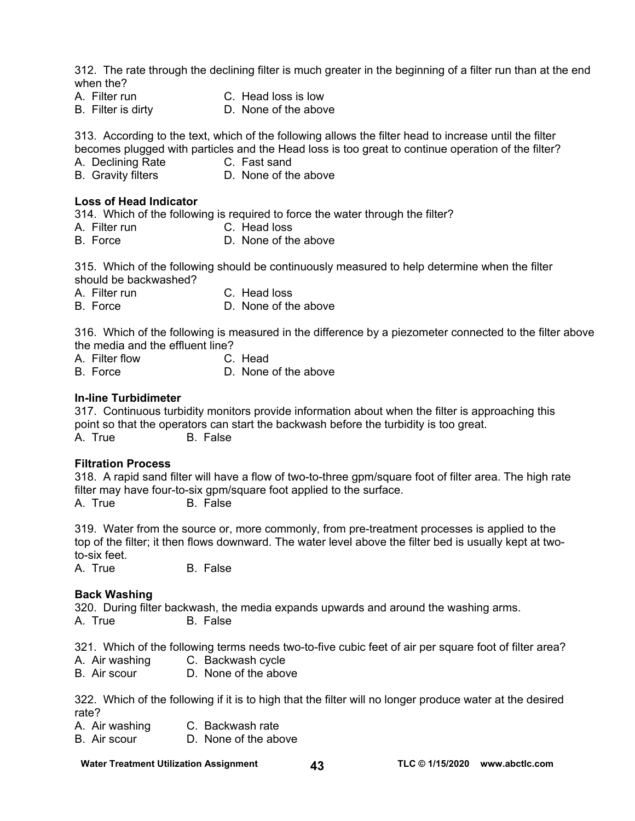312. The rate through the declining filter is much greater in the beginning of a filter run than at the end when the?

- A. Filter run C. Head loss is low
- 
- B. Filter is dirty D. None of the above

313. According to the text, which of the following allows the filter head to increase until the filter becomes plugged with particles and the Head loss is too great to continue operation of the filter?

- A. Declining Rate C. Fast sand
- 
- B. Gravity filters **D. None of the above**

### **Loss of Head Indicator**

314. Which of the following is required to force the water through the filter?

- A. Filter run C. Head loss
- B. Force D. None of the above

315. Which of the following should be continuously measured to help determine when the filter should be backwashed?

- A. Filter run C. Head loss
- B. Force D. None of the above

316. Which of the following is measured in the difference by a piezometer connected to the filter above the media and the effluent line?

- 
- A. Filter flow C. Head<br>B. Force D. None D. None of the above

### **In-line Turbidimeter**

317. Continuous turbidity monitors provide information about when the filter is approaching this point so that the operators can start the backwash before the turbidity is too great. A. True B. False

### **Filtration Process**

318. A rapid sand filter will have a flow of two-to-three gpm/square foot of filter area. The high rate filter may have four-to-six gpm/square foot applied to the surface.

A. True B. False

319. Water from the source or, more commonly, from pre-treatment processes is applied to the top of the filter; it then flows downward. The water level above the filter bed is usually kept at twoto-six feet.

A. True B. False

### **Back Washing**

320. During filter backwash, the media expands upwards and around the washing arms. A. True B. False

321. Which of the following terms needs two-to-five cubic feet of air per square foot of filter area?

- A. Air washing C. Backwash cycle
- B. Air scour D. None of the above

322. Which of the following if it is to high that the filter will no longer produce water at the desired rate?

- A. Air washing C. Backwash rate
- B. Air scour D. None of the above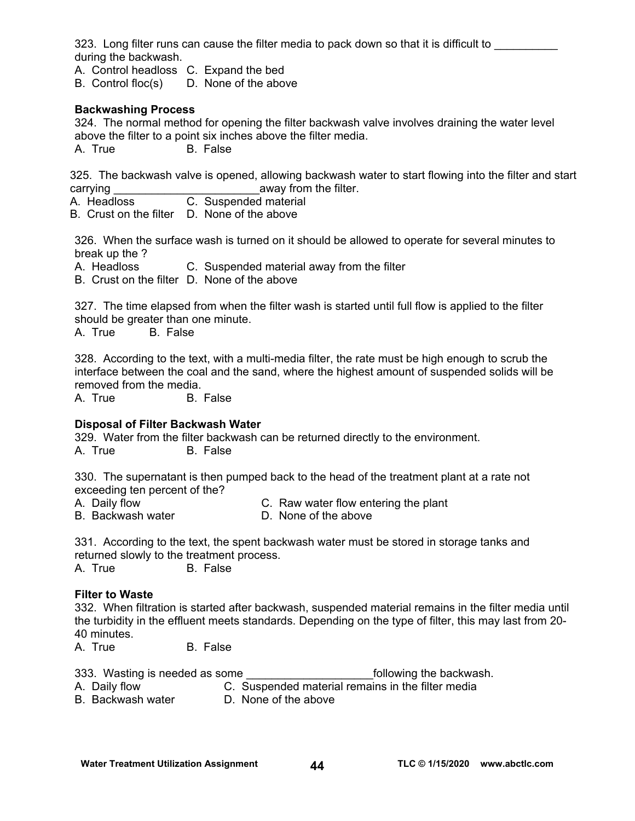323. Long filter runs can cause the filter media to pack down so that it is difficult to \_\_\_\_\_\_\_\_\_\_\_\_\_\_\_\_\_\_\_\_\_ during the backwash.

A. Control headloss C. Expand the bed

B. Control floc(s) D. None of the above

# **Backwashing Process**

324. The normal method for opening the filter backwash valve involves draining the water level above the filter to a point six inches above the filter media. A. True B. False

325. The backwash valve is opened, allowing backwash water to start flowing into the filter and start carrying carrying  $\sim$  away from the filter.

A. Headloss C. Suspended material

B. Crust on the filter D. None of the above

326. When the surface wash is turned on it should be allowed to operate for several minutes to break up the ?

A. Headloss C. Suspended material away from the filter

B. Crust on the filter D. None of the above

327. The time elapsed from when the filter wash is started until full flow is applied to the filter should be greater than one minute.

A. True B. False

328. According to the text, with a multi-media filter, the rate must be high enough to scrub the interface between the coal and the sand, where the highest amount of suspended solids will be removed from the media.

A. True B. False

# **Disposal of Filter Backwash Water**

329. Water from the filter backwash can be returned directly to the environment. A. True B. False

330. The supernatant is then pumped back to the head of the treatment plant at a rate not exceeding ten percent of the?

- A. Daily flow C. Raw water flow entering the plant
- B. Backwash water **D. None of the above**

331. According to the text, the spent backwash water must be stored in storage tanks and returned slowly to the treatment process.

A. True B. False

# **Filter to Waste**

332. When filtration is started after backwash, suspended material remains in the filter media until the turbidity in the effluent meets standards. Depending on the type of filter, this may last from 20- 40 minutes.

A. True B. False

|                                                                  | 333. Wasting is needed as some |                                                               | following the backwash. |
|------------------------------------------------------------------|--------------------------------|---------------------------------------------------------------|-------------------------|
| $\mathbf{A}$ $\mathbf{D}$ $\mathbf{A}$ $\mathbf{B}$ $\mathbf{A}$ |                                | .O. . Origin and a dimensional momentum in the filter mondial |                         |

A. Daily flow C. Suspended material remains in the filter media

B. Backwash water **D. None of the above**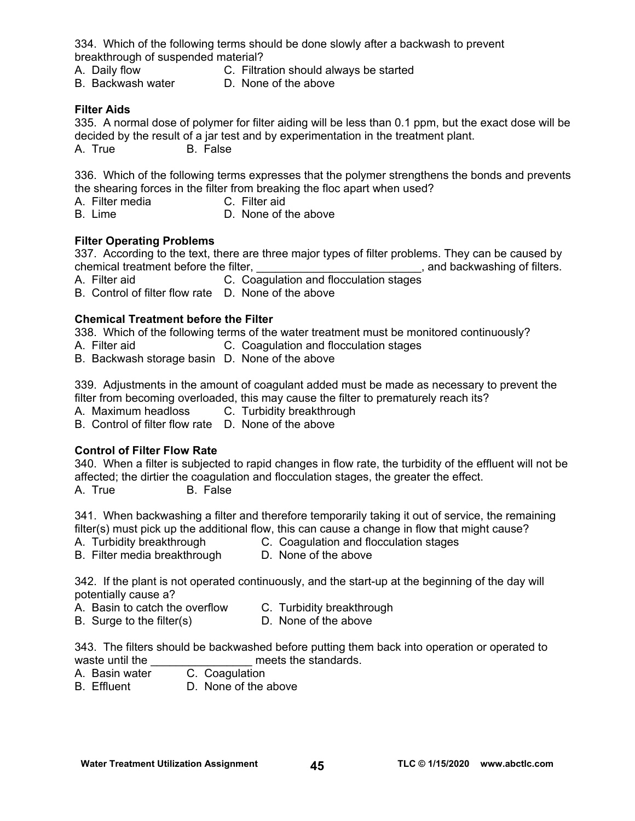334. Which of the following terms should be done slowly after a backwash to prevent breakthrough of suspended material?

- 
- A. Daily flow C. Filtration should always be started
- B. Backwash water D. None of the above
- 

# **Filter Aids**

335. A normal dose of polymer for filter aiding will be less than 0.1 ppm, but the exact dose will be decided by the result of a jar test and by experimentation in the treatment plant. A. True B. False

336. Which of the following terms expresses that the polymer strengthens the bonds and prevents the shearing forces in the filter from breaking the floc apart when used?

- A. Filter media C. Filter aid
- B. Lime D. None of the above

# **Filter Operating Problems**

337. According to the text, there are three major types of filter problems. They can be caused by chemical treatment before the filter, the state of the state of filters. The state of filters,  $\alpha$  and backwashing of filters.

A. Filter aid **C.** Coagulation and flocculation stages

B. Control of filter flow rate D. None of the above

# **Chemical Treatment before the Filter**

338. Which of the following terms of the water treatment must be monitored continuously?

- A. Filter aid C. Coagulation and flocculation stages
- B. Backwash storage basin D. None of the above

339. Adjustments in the amount of coagulant added must be made as necessary to prevent the filter from becoming overloaded, this may cause the filter to prematurely reach its?

A. Maximum headloss C. Turbidity breakthrough

B. Control of filter flow rate D. None of the above

# **Control of Filter Flow Rate**

340. When a filter is subjected to rapid changes in flow rate, the turbidity of the effluent will not be affected; the dirtier the coagulation and flocculation stages, the greater the effect. A. True B. False

341. When backwashing a filter and therefore temporarily taking it out of service, the remaining filter(s) must pick up the additional flow, this can cause a change in flow that might cause?

- A. Turbidity breakthrough C. Coagulation and flocculation stages
- B. Filter media breakthrough D. None of the above

342. If the plant is not operated continuously, and the start-up at the beginning of the day will

potentially cause a?

- A. Basin to catch the overflow C. Turbidity breakthrough
- B. Surge to the filter(s) D. None of the above
	-

343. The filters should be backwashed before putting them back into operation or operated to waste until the **EXEC SECONG CONCERNATION** meets the standards.

- A. Basin water C. Coagulation
- B. Effluent D. None of the above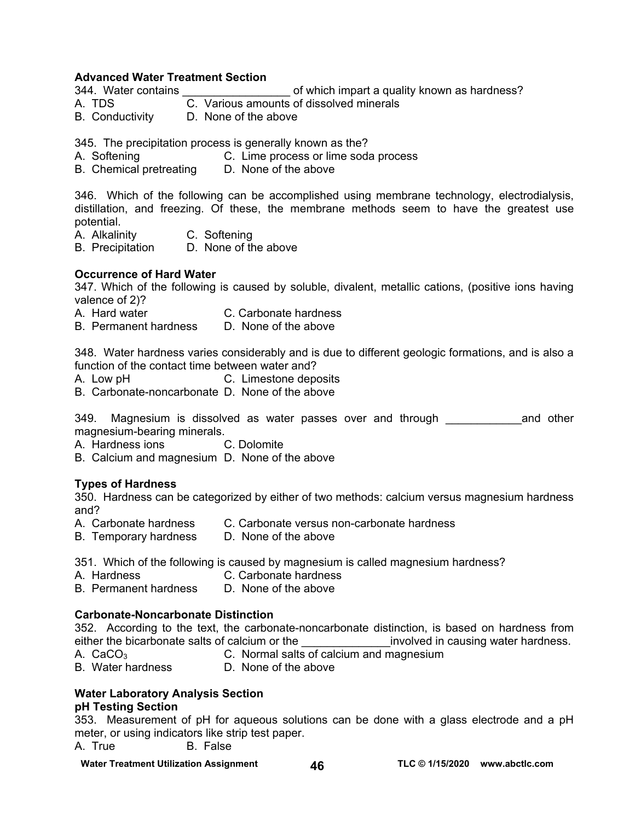### **Advanced Water Treatment Section**

- 344. Water contains \_\_\_\_\_\_\_\_\_\_\_\_\_\_\_\_\_ of which impart a quality known as hardness?
- $\overline{C}$ . Various amounts of dissolved minerals
- B. Conductivity D. None of the above

345. The precipitation process is generally known as the?

- A. Softening C. Lime process or lime soda process
- B. Chemical pretreating D. None of the above

346. Which of the following can be accomplished using membrane technology, electrodialysis, distillation, and freezing. Of these, the membrane methods seem to have the greatest use potential.

- A. Alkalinity C. Softening
- B. Precipitation D. None of the above

### **Occurrence of Hard Water**

347. Which of the following is caused by soluble, divalent, metallic cations, (positive ions having valence of 2)?

- A. Hard water C. Carbonate hardness
- B. Permanent hardness D. None of the above

348. Water hardness varies considerably and is due to different geologic formations, and is also a function of the contact time between water and?

- A. Low pH C. Limestone deposits
- B. Carbonate-noncarbonate D. None of the above

349. Magnesium is dissolved as water passes over and through \_\_\_\_\_\_\_\_\_\_\_\_\_\_and other magnesium-bearing minerals.

- A. Hardness ions C. Dolomite
- B. Calcium and magnesium D. None of the above

### **Types of Hardness**

350. Hardness can be categorized by either of two methods: calcium versus magnesium hardness and?

- A. Carbonate hardness C. Carbonate versus non-carbonate hardness
- B. Temporary hardness D. None of the above
- 351. Which of the following is caused by magnesium is called magnesium hardness?
- 
- A. Hardness C. Carbonate hardness<br>B. Permanent hardness D. None of the above B. Permanent hardness

### **Carbonate-Noncarbonate Distinction**

352. According to the text, the carbonate-noncarbonate distinction, is based on hardness from either the bicarbonate salts of calcium or the entity involved in causing water hardness.

- 
- A.  $CaCO<sub>3</sub>$  C. Normal salts of calcium and magnesium
- B. Water hardness D. None of the above

# **Water Laboratory Analysis Section**

### **pH Testing Section**

353. Measurement of pH for aqueous solutions can be done with a glass electrode and a pH meter, or using indicators like strip test paper.

A. True B. False

**Water Treatment Utilization Assignment 46 TLC © 1/15/2020 [www.abctlc.com](http://www.abctlc.com)**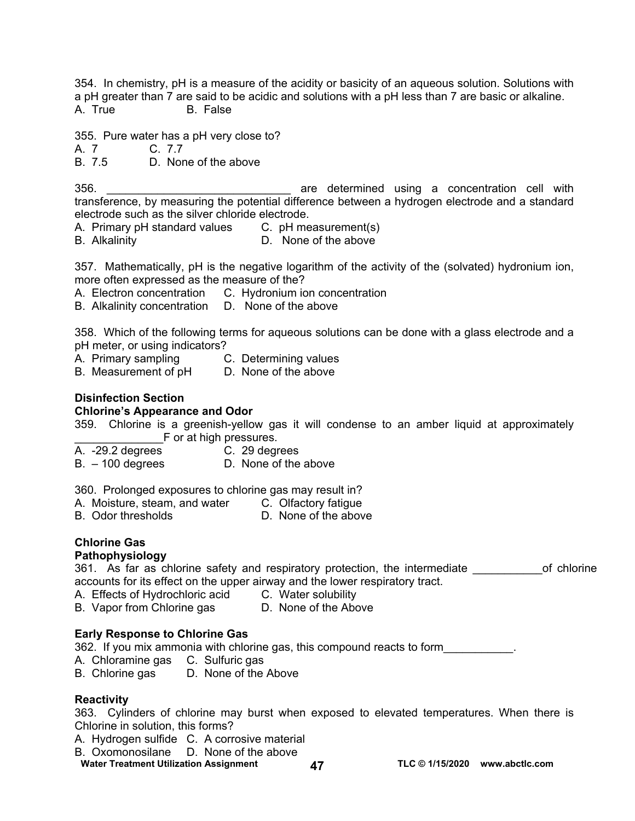354. In chemistry, pH is a measure of the acidity or basicity of an aqueous solution. Solutions with a pH greater than 7 are said to be acidic and solutions with a pH less than 7 are basic or alkaline. A. True B. False

355. Pure water has a pH very close to?

A. 7 C. 7.7

B. 7.5 D. None of the above

356. \_\_\_\_\_\_\_\_\_\_\_\_\_\_\_\_\_\_\_\_\_\_\_\_\_\_\_\_\_ are determined using a concentration cell with transference, by measuring the potential difference between a hydrogen electrode and a standard electrode such as the silver chloride electrode.

A. Primary pH standard values C. pH measurement(s)

B. Alkalinity D. None of the above

357. Mathematically, pH is the negative logarithm of the activity of the (solvated) hydronium ion, more often expressed as the measure of the?

- A. Electron concentration C. Hydronium ion concentration
- B. Alkalinity concentration D. None of the above

358. Which of the following terms for aqueous solutions can be done with a glass electrode and a pH meter, or using indicators?

- A. Primary sampling C. Determining values
- B. Measurement of pH D. None of the above

### **Disinfection Section**

### **Chlorine's Appearance and Odor**

359. Chlorine is a greenish-yellow gas it will condense to an amber liquid at approximately F or at high pressures.

- A. -29.2 degrees C. 29 degrees
	-
- B. 100 degrees D. None of the above

360. Prolonged exposures to chlorine gas may result in?

- A. Moisture, steam, and water C. Olfactory fatigue
- B. Odor thresholds D. None of the above

# **Chlorine Gas**

### **Pathophysiology**

361. As far as chlorine safety and respiratory protection, the intermediate on the of chlorine accounts for its effect on the upper airway and the lower respiratory tract.

- A. Effects of Hydrochloric acid C. Water solubility
- B. Vapor from Chlorine gas D. None of the Above

# **Early Response to Chlorine Gas**

362. If you mix ammonia with chlorine gas, this compound reacts to form

- A. Chloramine gas C. Sulfuric gas
- B. Chlorine gas D. None of the Above

# **Reactivity**

363. Cylinders of chlorine may burst when exposed to elevated temperatures. When there is Chlorine in solution, this forms?

- A. Hydrogen sulfide C. A corrosive material
- B. Oxomonosilane D. None of the above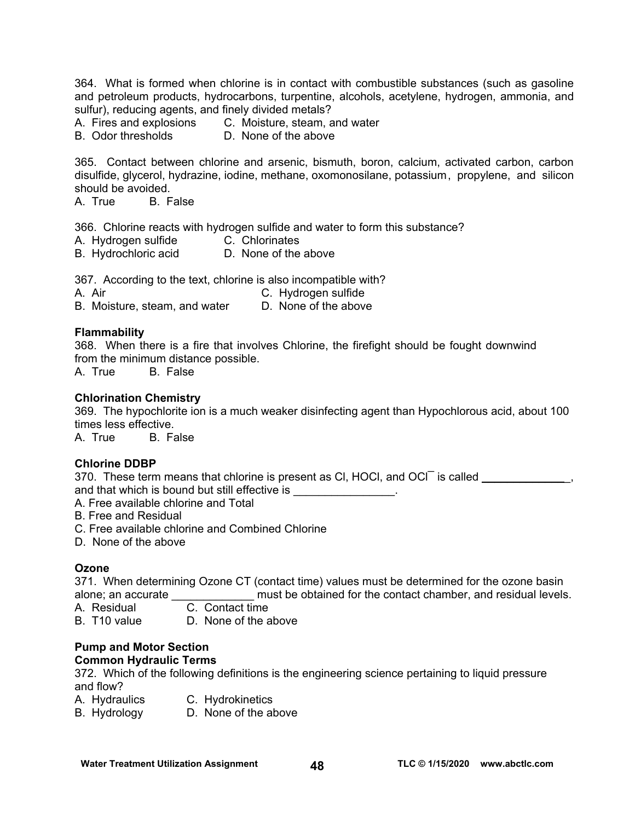364. What is formed when chlorine is in contact with combustible substances (such as gasoline and petroleum products, hydrocarbons, turpentine, alcohols, acetylene, hydrogen, ammonia, and sulfur), reducing agents, and finely divided metals?

- A. Fires and explosions C. Moisture, steam, and water
- B. Odor thresholds D. None of the above

365. Contact between chlorine and arsenic, bismuth, boron, calcium, activated carbon, carbon disulfide, glycerol, hydrazine, iodine, methane, oxomonosilane, potassium , propylene, and silicon should be avoided.

A. True B. False

366. Chlorine reacts with hydrogen sulfide and water to form this substance?

- A. Hydrogen sulfide C. Chlorinates
- B. Hydrochloric acid D. None of the above

367. According to the text, chlorine is also incompatible with?

A. Air C. Hydrogen sulfide

B. Moisture, steam, and water D. None of the above

### **Flammability**

368. When there is a fire that involves Chlorine, the firefight should be fought downwind from the minimum distance possible.

A. True B. False

### **Chlorination Chemistry**

369. The hypochlorite ion is a much weaker disinfecting agent than Hypochlorous acid, about 100 times less effective.

A. True B. False

# **Chlorine DDBP**

370. These term means that chlorine is present as CI, HOCI, and OCI is called \_\_\_\_\_\_\_\_\_\_\_\_\_, and that which is bound but still effective is  $\qquad \qquad$ .

A. Free available chlorine and Total

- B. Free and Residual
- C. Free available chlorine and Combined Chlorine
- D. None of the above

# **Ozone**

371. When determining Ozone CT (contact time) values must be determined for the ozone basin alone; an accurate \_\_\_\_\_\_\_\_\_\_\_\_\_ must be obtained for the contact chamber, and residual levels.

A. Residual C. Contact time

B. T10 value D. None of the above

#### **Pump and Motor Section Common Hydraulic Terms**

372. Which of the following definitions is the engineering science pertaining to liquid pressure and flow?

- A. Hydraulics C. Hydrokinetics
- B. Hydrology D. None of the above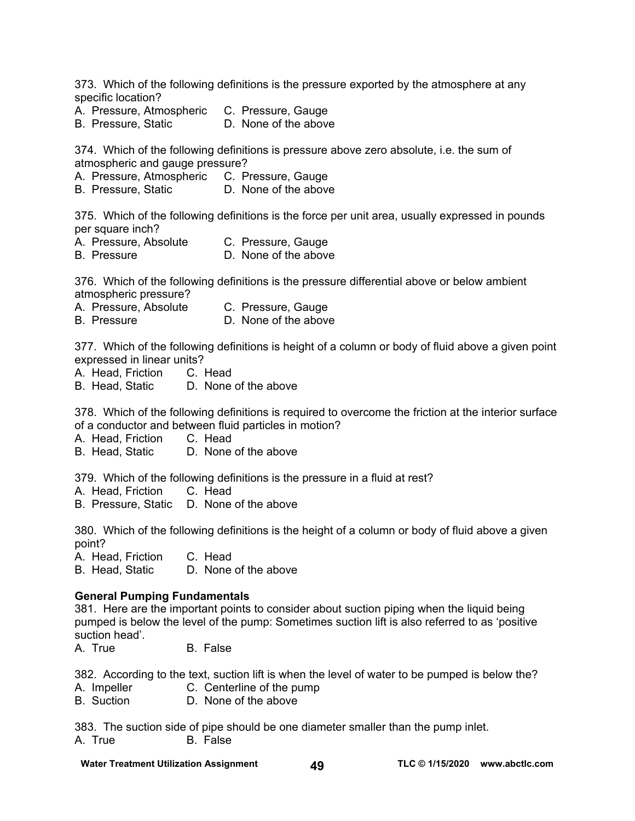373. Which of the following definitions is the pressure exported by the atmosphere at any specific location?

- A. Pressure, Atmospheric C. Pressure, Gauge
- B. Pressure, Static D. None of the above

374. Which of the following definitions is pressure above zero absolute, i.e. the sum of atmospheric and gauge pressure?

- A. Pressure, Atmospheric C. Pressure, Gauge
- B. Pressure, Static D. None of the above

375. Which of the following definitions is the force per unit area, usually expressed in pounds per square inch?

- A. Pressure, Absolute C. Pressure, Gauge
- B. Pressure **D. None of the above**

376. Which of the following definitions is the pressure differential above or below ambient atmospheric pressure?

- A. Pressure, Absolute C. Pressure, Gauge
- B. Pressure **D. None of the above**

377. Which of the following definitions is height of a column or body of fluid above a given point expressed in linear units?

- A. Head, Friction C. Head
- B. Head, Static D. None of the above

378. Which of the following definitions is required to overcome the friction at the interior surface of a conductor and between fluid particles in motion?

A. Head, Friction C. Head

B. Head, Static D. None of the above

379. Which of the following definitions is the pressure in a fluid at rest?

- A. Head, Friction C. Head
- B. Pressure, Static D. None of the above

380. Which of the following definitions is the height of a column or body of fluid above a given point?

A. Head, Friction C. Head

B. Head, Static D. None of the above

### **General Pumping Fundamentals**

381. Here are the important points to consider about suction piping when the liquid being pumped is below the level of the pump: Sometimes suction lift is also referred to as 'positive suction head'.

A. True B. False

382. According to the text, suction lift is when the level of water to be pumped is below the?

- A. Impeller C. Centerline of the pump
- B. Suction D. None of the above

383. The suction side of pipe should be one diameter smaller than the pump inlet. A. True B. False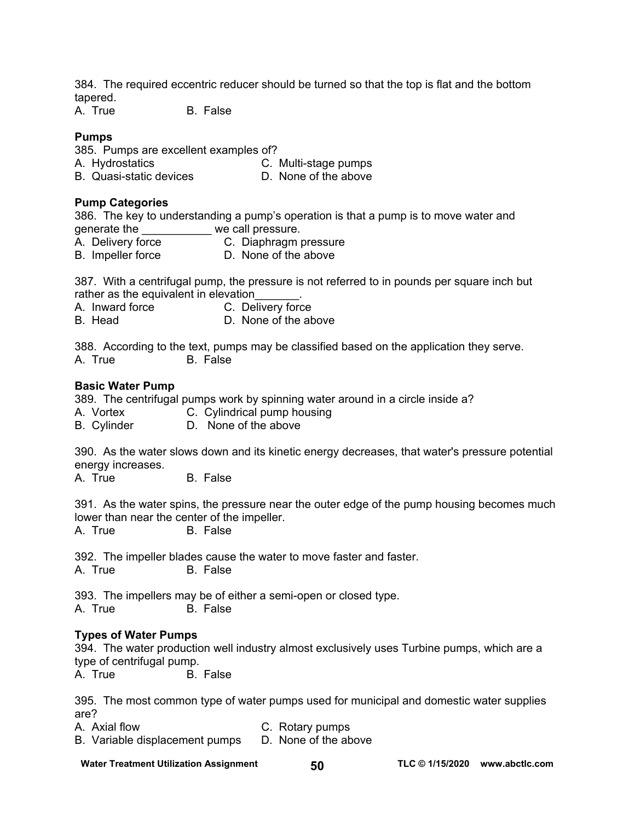384. The required eccentric reducer should be turned so that the top is flat and the bottom tapered.

A. True B. False

### **Pumps**

385. Pumps are excellent examples of?

- A. Hydrostatics C. Multi-stage pumps
- B. Quasi-static devices **D.** None of the above

### **Pump Categories**

386. The key to understanding a pump's operation is that a pump is to move water and

- generate the \_\_\_\_\_\_\_\_\_\_\_\_ we call pressure.<br>A. Delivery force \_\_\_\_\_\_\_\_\_ C. Diaphragm p C. Diaphragm pressure
- B. Impeller force D. None of the above

387. With a centrifugal pump, the pressure is not referred to in pounds per square inch but rather as the equivalent in elevation

A. Inward force C. Delivery force

B. Head D. None of the above

388. According to the text, pumps may be classified based on the application they serve. A. True B. False

### **Basic Water Pump**

389. The centrifugal pumps work by spinning water around in a circle inside a?

- A. Vortex **C. Cylindrical pump housing**
- B. Cylinder D. None of the above

390. As the water slows down and its kinetic energy decreases, that water's pressure potential energy increases.

A. True B. False

391. As the water spins, the pressure near the outer edge of the pump housing becomes much lower than near the center of the impeller.<br>A. True B. False

**B.** False

392. The impeller blades cause the water to move faster and faster. A. True B. False

393. The impellers may be of either a semi-open or closed type. A. True B. False

# **Types of Water Pumps**

394. The water production well industry almost exclusively uses Turbine pumps, which are a type of centrifugal pump.

A. True B. False

395. The most common type of water pumps used for municipal and domestic water supplies are?

- A. Axial flow C. Rotary pumps
- B. Variable displacement pumps D. None of the above